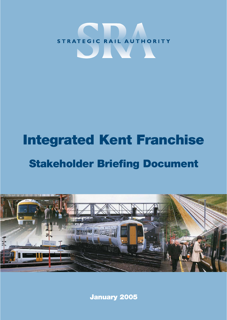

# **Integrated Kent Franchise Stakeholder Briefing Document**



**January 2005**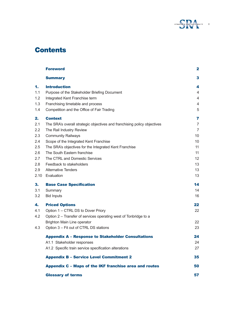

# **Contents**

|      | <b>Foreword</b>                                                          | $\mathbf{2}$   |
|------|--------------------------------------------------------------------------|----------------|
|      | <b>Summary</b>                                                           | 3              |
| 1.   | <b>Introduction</b>                                                      | 4              |
| 1.1  | Purpose of the Stakeholder Briefing Document                             | 4              |
| 1.2  | Integrated Kent Franchise term                                           | 4              |
| 1.3  | Franchising timetable and process                                        | 4              |
| 1.4  | Competition and the Office of Fair Trading                               | 5              |
| 2.   | <b>Context</b>                                                           | 7              |
| 2.1  | The SRA's overall strategic objectives and franchising policy objectives | 7              |
| 2.2  | The Rail Industry Review                                                 | $\overline{7}$ |
| 2.3  | <b>Community Railways</b>                                                | 10             |
| 2.4  | Scope of the Integrated Kent Franchise                                   | 10             |
| 2.5  | The SRA's objectives for the Integrated Kent Franchise                   | 11             |
| 2.6  | The South Eastern franchise                                              | 11             |
| 2.7  | The CTRL and Domestic Services                                           | 12             |
| 2.8  | Feedback to stakeholders                                                 | 13             |
| 2.9  | <b>Alternative Tenders</b>                                               | 13             |
| 2.10 | Evaluation                                                               | 13             |
| 3.   | <b>Base Case Specification</b>                                           | 14             |
| 3.1  | Summary                                                                  | 14             |
| 3.2  | <b>Bid Inputs</b>                                                        | 16             |
| 4.   | <b>Priced Options</b>                                                    | 22             |
| 4.1  | Option 1 – CTRL DS to Dover Priory                                       | 22             |
| 4.2  | Option 2 - Transfer of services operating west of Tonbridge to a         |                |
|      | Brighton Main Line operator                                              | 22             |
| 4.3  | Option 3 - Fit out of CTRL DS stations                                   | 23             |
|      | <b>Appendix A - Response to Stakeholder Consultations</b>                | 24             |
|      | A1.1 Stakeholder responses                                               | 24             |
|      | A1.2 Specific train service specification alterations                    | 27             |
|      | <b>Appendix B - Service Level Commitment 2</b>                           | 35             |
|      | Appendix C - Maps of the IKF franchise area and routes                   | 50             |
|      | <b>Glossary of terms</b>                                                 | 57             |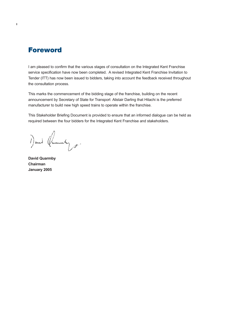# **Foreword**

I am pleased to confirm that the various stages of consultation on the Integrated Kent Franchise service specification have now been completed. A revised Integrated Kent Franchise Invitation to Tender (ITT) has now been issued to bidders, taking into account the feedback received throughout the consultation process.

This marks the commencement of the bidding stage of the franchise, building on the recent announcement by Secretary of State for Transport Alistair Darling that Hitachi is the preferred manufacturer to build new high speed trains to operate within the franchise.

This Stakeholder Briefing Document is provided to ensure that an informed dialogue can be held as required between the four bidders for the Integrated Kent Franchise and stakeholders.

1) and Quanty.

**David Quarmby Chairman January 2005**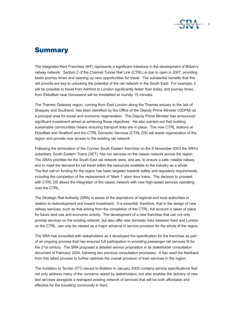

# **Summary**

The Integrated Kent Franchise (IKF) represents a significant milestone in the development of Britain's railway network. Section 2 of the Channel Tunnel Rail Link (CTRL) is due to open in 2007, providing faster journey times and opening up new opportunities for travel. The substantial benefits that this will provide are key to unlocking the potential of the rail network in the South East. For example, it will be possible to travel from Ashford to London significantly faster than today, and journey times from Ebbsfleet near Gravesend will be timetabled at roundly 15 minutes.

The Thames Gateway region, running from East London along the Thames estuary to the Isle of Sheppey and Southend, has been identified by the Office of the Deputy Prime Minister (ODPM) as a principal area for social and economic regeneration. The Deputy Prime Minister has announced significant investment aimed at achieving those objectives. He also pointed out that building sustainable communities means ensuring transport links are in place. The new CTRL stations at Ebbsfleet and Stratford and the CTRL Domestic Services (CTRL DS) will assist regeneration of the region and provide new access to the existing rail network.

Following the termination of the Connex South Eastern franchise on the 9 November 2003 the SRA's subsidiary, South Eastern Trains (SET), has run services on the classic network across the region. The SRA's priorities for the South East rail network were, and are, to ensure a safe, reliable railway and to meet the demand for rail travel within the resources available to the industry as a whole. The first call on funding for the region has been targeted towards safety and regulatory requirements, including the completion of the replacement of 'Mark 1' slam door trains. The decision to proceed with CTRL DS allows the integration of the classic network with new high-speed services operating over the CTRL.

The Strategic Rail Authority (SRA) is aware of the aspirations of regional and local authorities in relation to redevelopment and inward investment. It is essential, therefore, that in the design of new railway services, such as that arising from the completion of the CTRL, full account is taken of plans for future land use and economic activity. The development of a new franchise that can not only provide services on the existing network, but also offer new domestic links between Kent and London on the CTRL, can only be viewed as a major advance in service provision for the whole of the region.

The SRA has consulted with stakeholders as it developed the specification for the franchise as part of an ongoing process that has ensured full participation in providing passenger rail services fit for the 21st century. The SRA proposed a detailed service proposition in its stakeholder consultation document of February 2004, following two previous consultation processes. It has used the feedback from this latest process to further optimize the overall provision of train services in the region.

The Invitation to Tender (ITT) issued to Bidders in January 2005 contains service specifications that not only address many of the concerns raised by stakeholders, but also enables the delivery of new fast services alongside a reshaped existing network of services that will be both affordable and effective for the travelling community in Kent.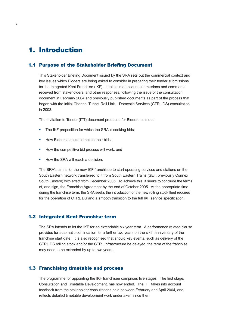# **1. Introduction**

**4**

### 1.1 Purpose of the Stakeholder Briefing Document

This Stakeholder Briefing Document issued by the SRA sets out the commercial context and key issues which Bidders are being asked to consider in preparing their tender submissions for the Integrated Kent Franchise (IKF). It takes into account submissions and comments received from stakeholders, and other responses, following the issue of the consultation document in February 2004 and previously published documents as part of the process that began with the initial Channel Tunnel Rail Link – Domestic Services (CTRL DS) consultation in 2003.

The Invitation to Tender (ITT) document produced for Bidders sets out:

- **•** The IKF proposition for which the SRA is seeking bids;
- **•** How Bidders should complete their bids;
- **•** How the competitive bid process will work; and
- **•** How the SRA will reach a decision.

The SRA's aim is for the new IKF franchisee to start operating services and stations on the South Eastern network transferred to it from South Eastern Trains (SET, previously Connex South Eastern) with effect from December 2005. To achieve this, it seeks to conclude the terms of, and sign, the Franchise Agreement by the end of October 2005. At the appropriate time during the franchise term, the SRA seeks the introduction of the new rolling stock fleet required for the operation of CTRL DS and a smooth transition to the full IKF service specification.

#### 1.2 Integrated Kent Franchise term

The SRA intends to let the IKF for an extendable six year term. A performance related clause provides for automatic continuation for a further two years on the sixth anniversary of the franchise start date. It is also recognised that should key events, such as delivery of the CTRL DS rolling stock and/or the CTRL infrastructure be delayed, the term of the franchise may need to be extended by up to two years.

#### 1.3 Franchising timetable and process

The programme for appointing the IKF franchisee comprises five stages. The first stage, Consultation and Timetable Development, has now ended. The ITT takes into account feedback from the stakeholder consultations held between February and April 2004, and reflects detailed timetable development work undertaken since then.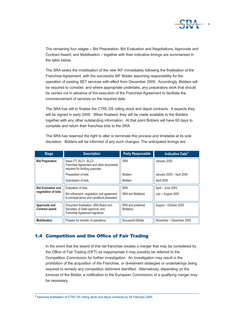

The remaining four stages – Bid Preparation; Bid Evaluation and Negotiations; Approvals and Contract Award; and Mobilisation – together with their indicative timings are summarised in the table below.

The SRA seeks the mobilisation of the new IKF immediately following the finalisation of the Franchise Agreement, with the successful IKF Bidder assuming responsibility for the operation of existing SET services with effect from December 2005. Accordingly, Bidders will be required to consider, and where appropriate undertake, any preparatory work that should be carried out in advance of the execution of the Franchise Agreement to facilitate the commencement of services on the required date.

The SRA has still to finalise the CTRL DS rolling stock and depot contracts. It expects they will be signed in early 2005. When finalised, they will be made available to the Bidders together with any other outstanding information. At that point Bidders will have 60 days to complete and return their franchise bids to the SRA.

| <b>Stage</b>                           | <b>Description</b>                                                                                         | <b>Party Responsible</b>       | Indicative Date <sup>1</sup> |
|----------------------------------------|------------------------------------------------------------------------------------------------------------|--------------------------------|------------------------------|
| <b>Bid Preparation</b>                 | Issue ITT, SLC1, SLC2,<br>Franchise Agreement and other documents<br>required for bidding purposes.        | <b>SRA</b>                     | January 2005                 |
|                                        | Preparation of bids.                                                                                       | <b>Bidders</b>                 | January 2005 - April 2005    |
|                                        | Submission of bids.                                                                                        | <b>Bidders</b>                 | April 2005                   |
| <b>Bid Evaluation and</b>              | Evaluation of bids.                                                                                        | <b>SRA</b>                     | April – June 2005            |
| negotiation of bids                    | Bid refinement, negotiation and agreement<br>to principal terms and conditions precedent.                  | SRA and Bidder(s)              | July - August 2005           |
| Approvals and<br><b>Contract award</b> | Document finalisation; SRA Board and<br>Secretary of State approval; and<br>Franchise Agreement signature. | SRA and preferred<br>Bidder(s) | August - October 2005        |
| <b>Mobilisation</b>                    | Prepare for transfer of operations.                                                                        | Successful Bidder              | November - December 2005     |

The SRA has reserved the right to alter or terminate this process and timetable at its sole discretion. Bidders will be informed of any such changes. The anticipated timings are:

# 1.4 Competition and the Office of Fair Trading

In the event that the award of this rail franchise creates a merger that may be considered by the Office of Fair Trading (OFT) as inappropriate it may possibly be referred to the Competition Commission for further investigation. An investigation may result in the prohibition of the acquisition of the Franchise, or divestment strategies or undertakings being required to remedy any competition detriment identified. Alternatively, depending on the turnover of the Bidder, a notification to the European Commission of a qualifying merger may be necessary.

<sup>1</sup> Assumes finalisation of CTRL DS rolling stock and depot contracts by 28 February 2005.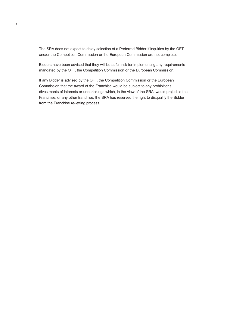The SRA does not expect to delay selection of a Preferred Bidder if inquiries by the OFT and/or the Competition Commission or the European Commission are not complete.

**6**

Bidders have been advised that they will be at full risk for implementing any requirements mandated by the OFT, the Competition Commission or the European Commission.

If any Bidder is advised by the OFT, the Competition Commission or the European Commission that the award of the Franchise would be subject to any prohibitions, divestments of interests or undertakings which, in the view of the SRA, would prejudice the Franchise, or any other franchise, the SRA has reserved the right to disqualify the Bidder from the Franchise re-letting process.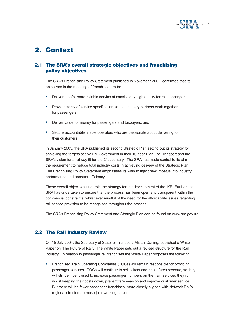

# **2. Context**

# 2.1 The SRA's overall strategic objectives and franchising policy objectives

The SRA's Franchising Policy Statement published in November 2002, confirmed that its objectives in the re-letting of franchises are to:

- **•** Deliver a safe, more reliable service of consistently high quality for rail passengers;
- **•** Provide clarity of service specification so that industry partners work together for passengers;
- **•** Deliver value for money for passengers and taxpayers; and
- **•** Secure accountable, viable operators who are passionate about delivering for their customers.

In January 2003, the SRA published its second Strategic Plan setting out its strategy for achieving the targets set by HM Government in their 10 Year Plan For Transport and the SRA's vision for a railway fit for the 21st century. The SRA has made central to its aim the requirement to reduce total industry costs in achieving delivery of the Strategic Plan. The Franchising Policy Statement emphasises its wish to inject new impetus into industry performance and operator efficiency.

These overall objectives underpin the strategy for the development of the IKF. Further, the SRA has undertaken to ensure that the process has been open and transparent within the commercial constraints, whilst ever mindful of the need for the affordability issues regarding rail service provision to be recognised throughout the process.

The SRA's Franchising Policy Statement and Strategic Plan can be found on www.sra.gov.uk

# 2.2 The Rail Industry Review

On 15 July 2004, the Secretary of State for Transport, Alistair Darling, published a White Paper on 'The Future of Rail'. The White Paper sets out a revised structure for the Rail Industry. In relation to passenger rail franchises the White Paper proposes the following:

**•** Franchised Train Operating Companies (TOCs) will remain responsible for providing passenger services. TOCs will continue to sell tickets and retain fares revenue, so they will still be incentivised to increase passenger numbers on the train services they run whilst keeping their costs down, prevent fare evasion and improve customer service. But there will be fewer passenger franchises, more closely aligned with Network Rail's regional structure to make joint working easier;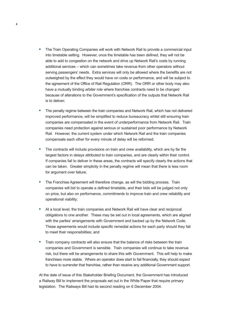**•** The Train Operating Companies will work with Network Rail to provide a commercial input into timetable setting. However, once the timetable has been defined, they will not be able to add to congestion on the network and drive up Network Rail's costs by running additional services – which can sometimes take revenue from other operators without serving passengers' needs. Extra services will only be allowed where the benefits are not outweighed by the effect they would have on costs or performance, and will be subject to the agreement of the Office of Rail Regulation (ORR). The ORR or other body may also have a mutually binding arbiter role where franchise contracts need to be changed because of alterations to the Government's specification of the outputs that Network Rail is to deliver;

**8**

- **•** The penalty regime between the train companies and Network Rail, which has not delivered improved performance, will be simplified to reduce bureaucracy whilst still ensuring train companies are compensated in the event of underperformance from Network Rail. Train companies need protection against serious or sustained poor performance by Network Rail. However, the current system under which Network Rail and the train companies compensate each other for every minute of delay will be reformed;
- **•** The contracts will include provisions on train and crew availability, which are by far the largest factors in delays attributed to train companies, and are clearly within their control. If companies fail to deliver in these areas, the contracts will specify clearly the actions that can be taken. Greater simplicity in the penalty regime will mean that there is less room for argument over failure;
- **•** The Franchise Agreement will therefore change, as will the bidding process. Train companies will bid to operate a defined timetable, and their bids will be judged not only on price, but also on performance, commitments to improve train and crew reliability and operational viability;
- **•** At a local level, the train companies and Network Rail will have clear and reciprocal obligations to one another. These may be set out in local agreements, which are aligned with the parties' arrangements with Government and backed up by the Network Code. These agreements would include specific remedial actions for each party should they fail to meet their responsibilities; and
- **•** Train company contracts will also ensure that the balance of risks between the train companies and Government is sensible. Train companies will continue to take revenue risk, but there will be arrangements to share this with Government. This will help to make franchises more stable. Where an operator does start to fail financially, they should expect to have to surrender that franchise, rather than receive any additional Government support.

At the date of issue of this Stakeholder Briefing Document, the Government has introduced a Railway Bill to implement the proposals set out in the White Paper that require primary legislation. The Railways Bill had its second reading on 6 December 2004.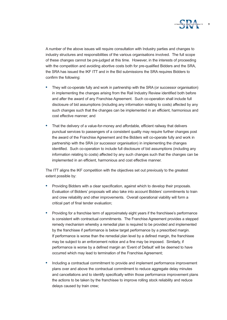

A number of the above issues will require consultation with Industry parties and changes to industry structures and responsibilities of the various organisations involved. The full scope of these changes cannot be pre-judged at this time. However, in the interests of proceeding with the competition and avoiding abortive costs both for pre-qualified Bidders and the SRA, the SRA has issued the IKF ITT and in the Bid submissions the SRA requires Bidders to confirm the following:

- **•** They will co-operate fully and work in partnership with the SRA (or successor organisation) in implementing the changes arising from the Rail Industry Review identified both before and after the award of any Franchise Agreement. Such co-operation shall include full disclosure of bid assumptions (including any information relating to costs) affected by any such changes such that the changes can be implemented in an efficient, harmonious and cost effective manner; and
- **•** That the delivery of a value-for-money and affordable, efficient railway that delivers punctual services to passengers of a consistent quality may require further changes post the award of the Franchise Agreement and the Bidders will co-operate fully and work in partnership with the SRA (or successor organisation) in implementing the changes identified. Such co-operation to include full disclosure of bid assumptions (including any information relating to costs) affected by any such changes such that the changes can be implemented in an efficient, harmonious and cost effective manner.

The ITT aligns the IKF competition with the objectives set out previously to the greatest extent possible by:

- **•** Providing Bidders with a clear specification, against which to develop their proposals. Evaluation of Bidders' proposals will also take into account Bidders' commitments to train and crew reliability and other improvements. Overall operational viability will form a critical part of final tender evaluation;
- **•** Providing for a franchise term of approximately eight years if the franchisee's performance is consistent with contractual commitments. The Franchise Agreement provides a stepped remedy mechanism whereby a remedial plan is required to be provided and implemented by the franchisee if performance is below target performance by a prescribed margin. If performance is worse than the remedial plan level by a defined margin, the franchisee may be subject to an enforcement notice and a fine may be imposed. Similarly, if performance is worse by a defined margin an 'Event of Default' will be deemed to have occurred which may lead to termination of the Franchise Agreement;
- **•** Including a contractual commitment to provide and implement performance improvement plans over and above the contractual commitment to reduce aggregate delay minutes and cancellations and to identify specifically within those performance improvement plans the actions to be taken by the franchisee to improve rolling stock reliability and reduce delays caused by train crew;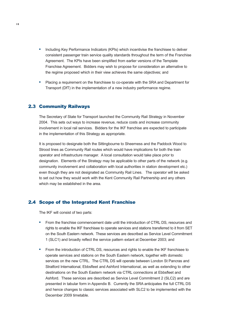- **•** Including Key Performance Indicators (KPIs) which incentivise the franchisee to deliver consistent passenger train service quality standards throughout the term of the Franchise Agreement. The KPIs have been simplified from earlier versions of the Template Franchise Agreement. Bidders may wish to propose for consideration an alternative to the regime proposed which in their view achieves the same objectives; and
- **•** Placing a requirement on the franchisee to co-operate with the SRA and Department for Transport (DfT) in the implementation of a new industry performance regime.

#### 2.3 Community Railways

The Secretary of State for Transport launched the Community Rail Strategy in November 2004. This sets out ways to increase revenue, reduce costs and increase community involvement in local rail services. Bidders for the IKF franchise are expected to participate in the implementation of this Strategy as appropriate.

It is proposed to designate both the Sittingbourne to Sheerness and the Paddock Wood to Strood lines as Community Rail routes which would have implications for both the train operator and infrastructure manager. A local consultation would take place prior to designation. Elements of the Strategy may be applicable to other parts of the network (e.g. community involvement and collaboration with local authorities in station development etc.) even though they are not designated as Community Rail Lines. The operator will be asked to set out how they would work with the Kent Community Rail Partnership and any others which may be established in the area.

#### 2.4 Scope of the Integrated Kent Franchise

The IKF will consist of two parts:

- **•** From the franchise commencement date until the introduction of CTRL DS, resources and rights to enable the IKF franchisee to operate services and stations transferred to it from SET on the South Eastern network. These services are described as Service Level Commitment 1 (SLC1) and broadly reflect the service pattern extant at December 2003; and
- **•** From the introduction of CTRL DS, resources and rights to enable the IKF franchisee to operate services and stations on the South Eastern network, together with domestic services on the new CTRL. The CTRL DS will operate between London St Pancras and Stratford International, Ebbsfleet and Ashford International, as well as extending to other destinations on the South Eastern network via CTRL connections at Ebbsfleet and Ashford. These services are described as Service Level Commitment 2 (SLC2) and are presented in tabular form in Appendix B. Currently the SRA anticipates the full CTRL DS and hence changes to classic services associated with SLC2 to be implemented with the December 2009 timetable.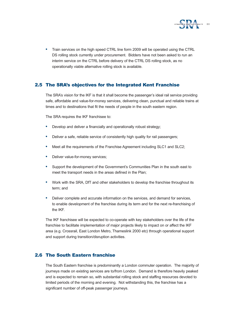

**•** Train services on the high speed CTRL line form 2009 will be operated using the CTRL DS rolling stock currently under procurement. Bidders have not been asked to run an interim service on the CTRL before delivery of the CTRL DS rolling stock, as no operationally viable alternative rolling stock is available.

# 2.5 The SRA's objectives for the Integrated Kent Franchise

The SRA's vision for the IKF is that it shall become the passenger's ideal rail service providing safe, affordable and value-for-money services, delivering clean, punctual and reliable trains at times and to destinations that fit the needs of people in the south eastern region.

The SRA requires the IKF franchisee to:

- **•** Develop and deliver a financially and operationally robust strategy;
- **•** Deliver a safe, reliable service of consistently high quality for rail passengers;
- **•** Meet all the requirements of the Franchise Agreement including SLC1 and SLC2;
- **•** Deliver value-for-money services;
- **•** Support the development of the Government's Communities Plan in the south east to meet the transport needs in the areas defined in the Plan;
- **•** Work with the SRA, DfT and other stakeholders to develop the franchise throughout its term; and
- **•** Deliver complete and accurate information on the services, and demand for services, to enable development of the franchise during its term and for the next re-franchising of the IKF.

The IKF franchisee will be expected to co-operate with key stakeholders over the life of the franchise to facilitate implementation of major projects likely to impact on or affect the IKF area (e.g. Crossrail, East London Metro, Thameslink 2000 etc) through operational support and support during transition/disruption activities.

# 2.6 The South Eastern franchise

The South Eastern franchise is predominantly a London commuter operation. The majority of journeys made on existing services are to/from London. Demand is therefore heavily peaked and is expected to remain so, with substantial rolling stock and staffing resources devoted to limited periods of the morning and evening. Not withstanding this, the franchise has a significant number of off-peak passenger journeys.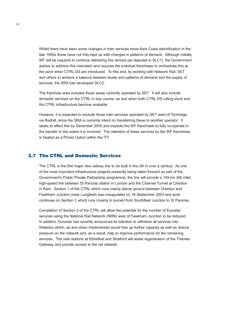Whilst there have been some changes in train services since Kent Coast electrification in the late 1950s these have not fully kept up with changes in patterns of demand. Although initially, IKF will be required to continue delivering this service (as depicted in SLC1), the Government wishes to address this mismatch and requires the eventual franchisee to orchestrate this at the point when CTRL DS are introduced. To this end, by working with Network Rail, SET and others to achieve a balance between levels and patterns of demand and the supply of services, the SRA has developed SLC2.

The franchise area includes those areas currently operated by SET. It will also include domestic services on the CTRL in due course, as and when both CTRL DS rolling stock and the CTRL infrastructure become available.

However, it is expected to exclude those train services operated by SET west of Tonbridge via Redhill, since the SRA is currently intent on transferring these to another operator. It seeks to effect this by December 2005 and expects the IKF franchisee to fully co-operate in the transfer to the extent it is involved. The retention of these services by the IKF franchisee is treated as a Priced Option within the ITT.

#### 2.7 The CTRL and Domestic Services

The CTRL is the first major new railway line to be built in the UK in over a century. As one of the most important infrastructure projects presently being taken forward as part of the Government's Public Private Partnership programme, the line will provide a 109 km (68 mile) high-speed link between St Pancras station in London and the Channel Tunnel at Cheriton in Kent. Section 1 of the CTRL which runs mainly above ground between Cheriton and Fawkham Junction (near Longfield) was inaugurated on 16 September 2003 and work continues on Section 2 which runs (mainly in tunnel) from Southfleet Junction to St Pancras.

Completion of Section 2 of the CTRL will allow the potential for the number of Eurostar services using the National Rail Network (NRN) west of Fawkham Junction to be reduced. In addition, Eurostar has recently announced its intention to withdraw all services into Waterloo which, as and when implemented would free up further capacity as well as reduce pressure on the network and, as a result, help to improve performance for the remaining services. The new stations at Ebbsfleet and Stratford will assist regeneration of the Thames Gateway and provide access to the rail network.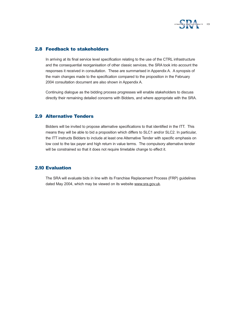

### 2.8 Feedback to stakeholders

In arriving at its final service level specification relating to the use of the CTRL infrastructure and the consequential reorganisation of other classic services, the SRA took into account the responses it received in consultation. These are summarised in Appendix A. A synopsis of the main changes made to the specification compared to the proposition in the February 2004 consultation document are also shown in Appendix A.

Continuing dialogue as the bidding process progresses will enable stakeholders to discuss directly their remaining detailed concerns with Bidders, and where appropriate with the SRA.

### 2.9 Alternative Tenders

Bidders will be invited to propose alternative specifications to that identified in the ITT. This means they will be able to bid a proposition which differs to SLC1 and/or SLC2. In particular, the ITT instructs Bidders to include at least one Alternative Tender with specific emphasis on low cost to the tax payer and high return in value terms. The compulsory alternative tender will be constrained so that it does not require timetable change to effect it.

### 2.10 Evaluation

The SRA will evaluate bids in line with its Franchise Replacement Process (FRP) guidelines dated May 2004, which may be viewed on its website www.sra.gov.uk.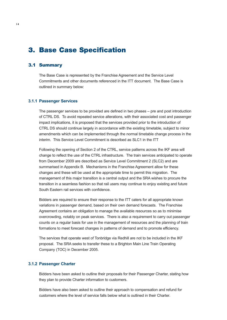# **3. Base Case Specification**

### 3.1 Summary

The Base Case is represented by the Franchise Agreement and the Service Level Commitments and other documents referenced in the ITT document. The Base Case is outlined in summary below:

#### **3.1.1 Passenger Services**

The passenger services to be provided are defined in two phases – pre and post introduction of CTRL DS. To avoid repeated service alterations, with their associated cost and passenger impact implications, it is proposed that the services provided prior to the introduction of CTRL DS should continue largely in accordance with the existing timetable, subject to minor amendments which can be implemented through the normal timetable change process in the interim. This Service Level Commitment is described as SLC1 in the ITT

Following the opening of Section 2 of the CTRL, service patterns across the IKF area will change to reflect the use of the CTRL infrastructure. The train services anticipated to operate from December 2009 are described as Service Level Commitment 2 (SLC2) and are summarised in Appendix B. Mechanisms in the Franchise Agreement allow for these changes and these will be used at the appropriate time to permit this migration. The management of this major transition is a central output and the SRA wishes to procure the transition in a seamless fashion so that rail users may continue to enjoy existing and future South Eastern rail services with confidence.

Bidders are required to ensure their response to the ITT caters for all appropriate known variations in passenger demand, based on their own demand forecasts. The Franchise Agreement contains an obligation to manage the available resources so as to minimise overcrowding, notably on peak services. There is also a requirement to carry out passenger counts on a regular basis for use in the management of resources and the planning of train formations to meet forecast changes in patterns of demand and to promote efficiency.

The services that operate west of Tonbridge via Redhill are not to be included in the IKF proposal. The SRA seeks to transfer these to a Brighton Main Line Train Operating Company (TOC) in December 2005.

#### **3.1.2 Passenger Charter**

Bidders have been asked to outline their proposals for their Passenger Charter, stating how they plan to provide Charter information to customers.

Bidders have also been asked to outline their approach to compensation and refund for customers where the level of service falls below what is outlined in their Charter.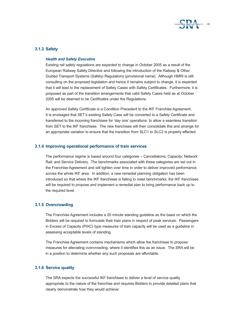

#### **3.1.3 Safety**

#### *Health and Safety Executive*

Existing rail safety regulations are expected to change in October 2005 as a result of the European Railway Safety Directive and following the introduction of the Railway & Other Guided Transport Systems (Safety) Regulations (provisional name). Although HMRI is still consulting on the proposed legislation and hence it remains subject to change, it is expected that it will lead to the replacement of Safety Cases with Safety Certificates. Furthermore, it is proposed as part of the transition arrangements that valid Safety Cases held as at October 2005 will be deemed to be Certificates under the Regulations.

An approved Safety Certificate is a Condition Precedent to the IKF Franchise Agreement. It is envisaged that SET's existing Safety Case will be converted to a Safety Certificate and transferred to the incoming franchisee for 'day one' operations, to allow a seamless transition from SET to the IKF franchisee. The new franchisee will then consolidate this and arrange for an appropriate variation to ensure that the transition from SLC1 to SLC2 is properly effected.

#### **3.1.4 Improving operational performance of train services**

The performance regime is based around four categories – Cancellations; Capacity; Network Rail; and Service Delivery. The benchmarks associated with these categories are set out in the Franchise Agreement and will tighten over time in order to deliver improved performance across the whole IKF area. In addition, a new remedial planning obligation has been introduced so that where the IKF franchisee is failing to meet benchmarks, the IKF franchisee will be required to propose and implement a remedial plan to bring performance back up to the required level.

#### **3.1.5 Overcrowding**

The Franchise Agreement includes a 20 minute standing guideline as the basis on which the Bidders will be required to formulate their train plans in respect of peak services. Passengers in Excess of Capacity (PIXC) type measures of train capacity will be used as a guideline in assessing acceptable levels of standing.

The Franchise Agreement contains mechanisms which allow the franchisee to propose measures for alleviating overcrowding, where it identifies this as an issue. The SRA will be in a position to determine whether any such proposals are affordable.

#### **3.1.6 Service quality**

The SRA expects the successful IKF franchisee to deliver a level of service quality appropriate to the nature of the franchise and requires Bidders to provide detailed plans that clearly demonstrate how they would achieve: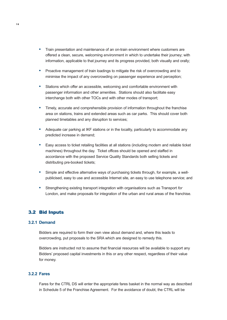- **•** Train presentation and maintenance of an on-train environment where customers are offered a clean, secure, welcoming environment in which to undertake their journey; with information, applicable to that journey and its progress provided, both visually and orally;
- **•** Proactive management of train loadings to mitigate the risk of overcrowding and to minimise the impact of any overcrowding on passenger experience and perception;
- **•** Stations which offer an accessible, welcoming and comfortable environment with passenger information and other amenities. Stations should also facilitate easy interchange both with other TOCs and with other modes of transport;
- **•** Timely, accurate and comprehensible provision of information throughout the franchise area on stations, trains and extended areas such as car parks. This should cover both planned timetables and any disruption to services;
- **•** Adequate car parking at IKF stations or in the locality, particularly to accommodate any predicted increase in demand;
- **•** Easy access to ticket retailing facilities at all stations (including modern and reliable ticket machines) throughout the day. Ticket offices should be opened and staffed in accordance with the proposed Service Quality Standards both selling tickets and distributing pre-booked tickets;
- **•** Simple and effective alternative ways of purchasing tickets through, for example, a wellpublicised, easy to use and accessible Internet site, an easy to use telephone service; and
- **•** Strengthening existing transport integration with organisations such as Transport *for* London, and make proposals for integration of the urban and rural areas of the franchise.

### 3.2 Bid Inputs

#### **3.2.1 Demand**

Bidders are required to form their own view about demand and, where this leads to overcrowding, put proposals to the SRA which are designed to remedy this.

Bidders are instructed not to assume that financial resources will be available to support any Bidders' proposed capital investments in this or any other respect, regardless of their value for money.

#### **3.2.2 Fares**

Fares for the CTRL DS will enter the appropriate fares basket in the normal way as described in Schedule 5 of the Franchise Agreement. For the avoidance of doubt, the CTRL will be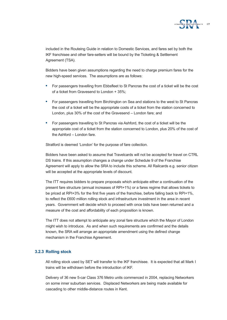

included in the Routeing Guide in relation to Domestic Services, and fares set by both the IKF franchisee and other fare-setters will be bound by the Ticketing & Settlement Agreement (TSA).

Bidders have been given assumptions regarding the need to charge premium fares for the new high-speed services. The assumptions are as follows:

- **•** For passengers travelling from Ebbsfleet to St Pancras the cost of a ticket will be the cost of a ticket from Gravesend to London + 35%;
- **•** For passengers travelling from Birchington on Sea and stations to the west to St Pancras the cost of a ticket will be the appropriate costs of a ticket from the station concerned to London, plus 30% of the cost of the Gravesend – London fare; and
- **•** For passengers travelling to St Pancras via Ashford, the cost of a ticket will be the appropriate cost of a ticket from the station concerned to London, plus 20% of the cost of the Ashford – London fare.

Stratford is deemed 'London' for the purpose of fare collection.

Bidders have been asked to assume that Travelcards will not be accepted for travel on CTRL DS trains. If this assumption changes a change under Schedule 9 of the Franchise Agreement will apply to allow the SRA to include this scheme. All Railcards e.g. senior citizen will be accepted at the appropriate levels of discount.

The ITT requires bidders to prepare proposals which anticipate either a continuation of the present fare structure (annual increases of RPI+1%) or a fares regime that allows tickets to be priced at RPI+3% for the first five years of the franchise, before falling back to RPI+1%, to reflect the £600 million rolling stock and infrastructure investment in the area in recent years. Government will decide which to proceed with once bids have been returned and a measure of the cost and affordability of each proposition is known.

The ITT does not attempt to anticipate any zonal fare structure which the Mayor of London might wish to introduce. As and when such requirements are confirmed and the details known, the SRA will arrange an appropriate amendment using the defined change mechanism in the Franchise Agreement.

#### **3.2.3 Rolling stock**

All rolling stock used by SET will transfer to the IKF franchisee. It is expected that all Mark I trains will be withdrawn before the introduction of IKF.

Delivery of 36 new 5-car Class 376 Metro units commenced in 2004, replacing Networkers on some inner suburban services. Displaced Networkers are being made available for cascading to other middle-distance routes in Kent.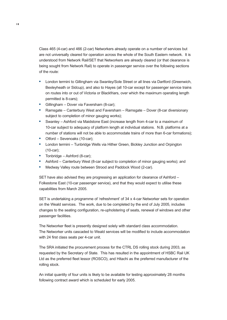Class 465 (4-car) and 466 (2-car) Networkers already operate on a number of services but are not universally cleared for operation across the whole of the South Eastern network. It is understood from Network Rail/SET that Networkers are already cleared (or that clearance is being sought from Network Rail) to operate in passenger service over the following sections of the route:

- **•** London termini to Gillingham via Swanley/Sole Street or all lines via Dartford (Greenwich, Bexleyheath or Sidcup), and also to Hayes (all 10-car except for passenger service trains on routes into or out of Victoria or Blackfriars, over which the maximum operating length permitted is 8-cars);
- **•** Gillingham Dover via Faversham (8-car);
- **•** Ramsgate Canterbury West and Faversham Ramsgate Dover (8-car diversionary subject to completion of minor gauging works);
- **•** Swanley Ashford via Maidstone East (increase length from 4-car to a maximum of 10-car subject to adequacy of platform length at individual stations. N.B. platforms at a number of stations will not be able to accommodate trains of more than 6-car formations);
- **•** Otford Sevenoaks (10-car);
- **•** London termini Tunbridge Wells via Hither Green, Bickley Junction and Orpington (10-car);
- **•** Tonbridge Ashford (8-car);
- **•** Ashford Canterbury West (8-car subject to completion of minor gauging works); and
- **•** Medway Valley route between Strood and Paddock Wood (2-car).

SET have also advised they are progressing an application for clearance of Ashford – Folkestone East (10-car passenger service), and that they would expect to utilise these capabilities from March 2005.

SET is undertaking a programme of 'refreshment' of 34 x 4-car Networker sets for operation on the Weald services. The work, due to be completed by the end of July 2005, includes changes to the seating configuration, re-upholstering of seats, renewal of windows and other passenger facilities.

The Networker fleet is presently designed solely with standard class accommodation. The Networker units cascaded to Weald services will be modified to include accommodation with 24 first class seats per 4-car unit.

The SRA initiated the procurement process for the CTRL DS rolling stock during 2003, as requested by the Secretary of State. This has resulted in the appointment of HSBC Rail UK Ltd as the preferred fleet lessor (ROSCO), and Hitachi as the preferred manufacturer of the rolling stock.

An initial quantity of four units is likely to be available for testing approximately 28 months following contract award which is scheduled for early 2005.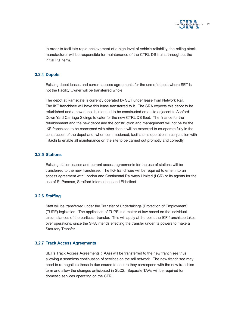

In order to facilitate rapid achievement of a high level of vehicle reliability, the rolling stock manufacturer will be responsible for maintenance of the CTRL DS trains throughout the initial IKF term.

#### **3.2.4 Depots**

Existing depot leases and current access agreements for the use of depots where SET is not the Facility Owner will be transferred whole.

The depot at Ramsgate is currently operated by SET under lease from Network Rail. The IKF franchisee will have this lease transferred to it. The SRA expects this depot to be refurbished and a new depot is intended to be constructed on a site adjacent to Ashford Down Yard Carriage Sidings to cater for the new CTRL DS fleet. The finance for the refurbishment and the new depot and the construction and management will not be for the IKF franchisee to be concerned with other than it will be expected to co-operate fully in the construction of the depot and, when commissioned, facilitate its operation in conjunction with Hitachi to enable all maintenance on the site to be carried out promptly and correctly.

#### **3.2.5 Stations**

Existing station leases and current access agreements for the use of stations will be transferred to the new franchisee. The IKF franchisee will be required to enter into an access agreement with London and Continental Railways Limited (LCR) or its agents for the use of St Pancras, Stratford International and Ebbsfleet.

#### **3.2.6 Staffing**

Staff will be transferred under the Transfer of Undertakings (Protection of Employment) (TUPE) legislation. The application of TUPE is a matter of law based on the individual circumstances of the particular transfer. This will apply at the point the IKF franchisee takes over operations, since the SRA intends effecting the transfer under its powers to make a Statutory Transfer.

#### **3.2.7 Track Access Agreements**

SET's Track Access Agreements (TAAs) will be transferred to the new franchisee thus allowing a seamless continuation of services on the rail network. The new franchisee may need to re-negotiate these in due course to ensure they correspond with the new franchise term and allow the changes anticipated in SLC2. Separate TAAs will be required for domestic services operating on the CTRL.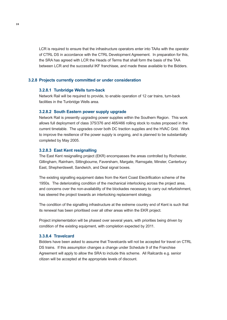LCR is required to ensure that the infrastructure operators enter into TAAs with the operator of CTRL DS in accordance with the CTRL Development Agreement. In preparation for this, the SRA has agreed with LCR the Heads of Terms that shall form the basis of the TAA between LCR and the successful IKF franchisee, and made these available to the Bidders.

#### **3.2.8 Projects currently committed or under consideration**

#### **3.2.8.1 Tunbridge Wells turn-back**

Network Rail will be required to provide, to enable operation of 12 car trains, turn-back facilities in the Tunbridge Wells area.

#### **3.2.8.2 South Eastern power supply upgrade**

Network Rail is presently upgrading power supplies within the Southern Region. This work allows full deployment of class 375/376 and 465/466 rolling stock to routes proposed in the current timetable. The upgrades cover both DC traction supplies and the HVAC Grid. Work to improve the resilience of the power supply is ongoing, and is planned to be substantially completed by May 2005.

#### **3.2.8.3 East Kent resignalling**

The East Kent resignalling project (EKR) encompasses the areas controlled by Rochester, Gillingham, Rainham, Sittingbourne, Faversham, Margate, Ramsgate, Minster, Canterbury East, Shepherdswell, Sandwich, and Deal signal boxes.

The existing signalling equipment dates from the Kent Coast Electrification scheme of the 1950s. The deteriorating condition of the mechanical interlocking across the project area, and concerns over the non-availability of the blockades necessary to carry out refurbishment, has steered the project towards an interlocking replacement strategy.

The condition of the signalling infrastructure at the extreme country end of Kent is such that its renewal has been prioritised over all other areas within the EKR project.

Project implementation will be phased over several years, with priorities being driven by condition of the existing equipment, with completion expected by 2011.

#### **3.3.8.4 Travelcard**

Bidders have been asked to assume that Travelcards will not be accepted for travel on CTRL DS trains. If this assumption changes a change under Schedule 9 of the Franchise Agreement will apply to allow the SRA to include this scheme. All Railcards e.g. senior citizen will be accepted at the appropriate levels of discount.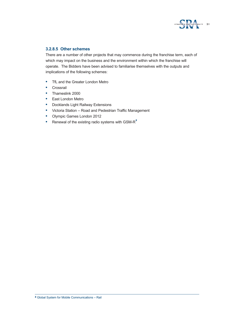

### **3.2.8.5 Other schemes**

There are a number of other projects that may commence during the franchise term, each of which may impact on the business and the environment within which the franchise will operate. The Bidders have been advised to familiarise themselves with the outputs and implications of the following schemes:

- **•** TfL and the Greater London Metro
- **•** Crossrail
- **•** Thameslink 2000
- **•** East London Metro
- **•** Docklands Light Railway Extensions
- **•** Victoria Station Road and Pedestrian Traffic Management
- **•** Olympic Games London 2012
- Renewal of the existing radio systems with GSM-R<sup>2</sup>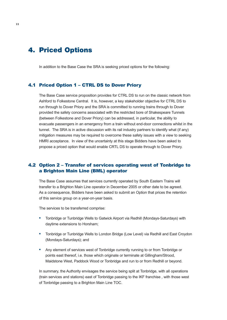# **4. Priced Options**

In addition to the Base Case the SRA is seeking priced options for the following:

#### 4.1 Priced Option 1 – CTRL DS to Dover Priory

The Base Case service proposition provides for CTRL DS to run on the classic network from Ashford to Folkestone Central. It is, however, a key stakeholder objective for CTRL DS to run through to Dover Priory and the SRA is committed to running trains through to Dover provided the safety concerns associated with the restricted bore of Shakespeare Tunnels (between Folkestone and Dover Priory) can be addressed, in particular, the ability to evacuate passengers in an emergency from a train without end-door connections whilst in the tunnel. The SRA is in active discussion with its rail industry partners to identify what (if any) mitigation measures may be required to overcome these safety issues with a view to seeking HMRI acceptance. In view of the uncertainty at this stage Bidders have been asked to propose a priced option that would enable CRTL DS to operate through to Dover Priory.

### 4.2 Option 2 – Transfer of services operating west of Tonbridge to a Brighton Main Line (BML) operator

The Base Case assumes that services currently operated by South Eastern Trains will transfer to a Brighton Main Line operator in December 2005 or other date to be agreed. As a consequence, Bidders have been asked to submit an Option that prices the retention of this service group on a year-on-year basis.

The services to be transferred comprise:

- **•** Tonbridge or Tunbridge Wells to Gatwick Airport via Redhill (Mondays-Saturdays) with daytime extensions to Horsham;
- **•** Tonbridge or Tunbridge Wells to London Bridge (Low Level) via Redhill and East Croydon (Mondays-Saturdays); and
- **•** Any element of services west of Tonbridge currently running to or from Tonbridge or points east thereof, i.e. those which originate or terminate at Gillingham/Strood, Maidstone West, Paddock Wood or Tonbridge and run to or from Redhill or beyond.

In summary, the Authority envisages the service being split at Tonbridge, with all operations (train services and stations) east of Tonbridge passing to the IKF franchise , with those west of Tonbridge passing to a Brighton Main Line TOC.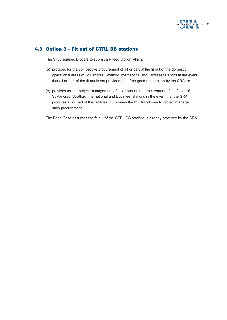

# 4.3 Option 3 – Fit out of CTRL DS stations

The SRA requires Bidders to submit a Priced Option which:

- (a) provides for the competitive procurement of all or part of the fit out of the domestic operational areas of St Pancras, Stratford International and Ebbsfleet stations in the event that all or part of the fit out is not provided as a free good undertaken by the SRA; or
- (b) provides for the project management of all or part of the procurement of the fit out of St Pancras, Stratford International and Ebbsfleet stations in the event that the SRA procures all or part of the facilities, but wishes the IKF franchisee to project manage such procurement.

The Base Case assumes the fit out of the CTRL DS stations is already procured by the SRA.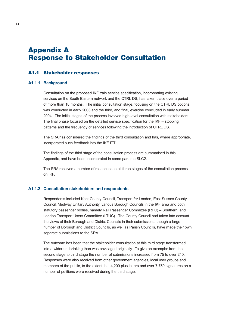# **Appendix A Response to Stakeholder Consultation**

#### A1.1 Stakeholder responses

#### **A1.1.1 Background**

Consultation on the proposed IKF train service specification, incorporating existing services on the South Eastern network and the CTRL DS, has taken place over a period of more than 18 months. The initial consultation stage, focusing on the CTRL DS options, was conducted in early 2003 and the third, and final, exercise concluded in early summer 2004. The initial stages of the process involved high-level consultation with stakeholders. The final phase focused on the detailed service specification for the IKF – stopping patterns and the frequency of services following the introduction of CTRL DS.

The SRA has considered the findings of the third consultation and has, where appropriate, incorporated such feedback into the IKF ITT.

The findings of the third stage of the consultation process are summarised in this Appendix, and have been incorporated in some part into SLC2.

The SRA received a number of responses to all three stages of the consultation process on IKF.

#### **A1.1.2 Consultation stakeholders and respondents**

Respondents included Kent County Council, Transport *for* London, East Sussex County Council, Medway Unitary Authority, various Borough Councils in the IKF area and both statutory passenger bodies, namely Rail Passenger Committee (RPC) – Southern, and London Transport Users Committee (LTUC). The County Council had taken into account the views of their Borough and District Councils in their submissions, though a large number of Borough and District Councils, as well as Parish Councils, have made their own separate submissions to the SRA.

The outcome has been that the stakeholder consultation at this third stage transformed into a wider undertaking than was envisaged originally. To give an example: from the second stage to third stage the number of submissions increased from 75 to over 240. Responses were also received from other government agencies, local user groups and members of the public, to the extent that 4,200 plus letters and over 7,750 signatures on a number of petitions were received during the third stage.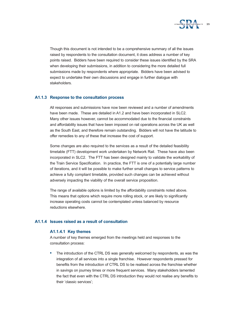

Though this document is not intended to be a comprehensive summary of all the issues raised by respondents to the consultation document, it does address a number of key points raised. Bidders have been required to consider these issues identified by the SRA when developing their submissions, in addition to considering the more detailed full submissions made by respondents where appropriate. Bidders have been advised to expect to undertake their own discussions and engage in further dialogue with stakeholders.

#### **A1.1.3 Response to the consultation process**

All responses and submissions have now been reviewed and a number of amendments have been made. These are detailed in A1.2 and have been incorporated in SLC2. Many other issues however, cannot be accommodated due to the financial constraints and affordability issues that have been imposed on rail operations across the UK as well as the South East, and therefore remain outstanding. Bidders will not have the latitude to offer remedies to any of these that increase the cost of support.

Some changes are also required to the services as a result of the detailed feasibility timetable (FTT) development work undertaken by Network Rail. These have also been incorporated in SLC2. The FTT has been designed mainly to validate the workability of the Train Service Specification. In practice, the FTT is one of a potentially large number of iterations, and it will be possible to make further small changes to service patterns to achieve a fully compliant timetable, provided such changes can be achieved without adversely impacting the viability of the overall service proposition.

The range of available options is limited by the affordability constraints noted above. This means that options which require more rolling stock, or are likely to significantly increase operating costs cannot be contemplated unless balanced by resource reductions elsewhere.

#### **A1.1.4 Issues raised as a result of consultation**

#### **A1.1.4.1 Key themes**

A number of key themes emerged from the meetings held and responses to the consultation process:

**•** The introduction of the CTRL DS was generally welcomed by respondents, as was the integration of all services into a single franchise. However respondents pressed for benefits from the introduction of CTRL DS to be realised across the franchise whether in savings on journey times or more frequent services. Many stakeholders lamented the fact that even with the CTRL DS introduction they would not realise any benefits to their 'classic services';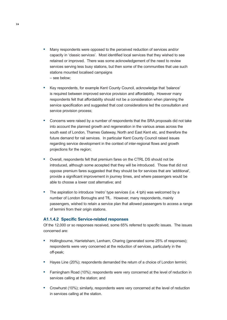- **•** Many respondents were opposed to the perceived reduction of services and/or capacity in 'classic services'. Most identified local services that they wished to see retained or improved. There was some acknowledgement of the need to review services serving less busy stations, but then some of the communities that use such stations mounted localised campaigns – see below;
- **•** Key respondents, for example Kent County Council, acknowledge that 'balance' is required between improved service provision and affordability. However many respondents felt that affordability should not be a consideration when planning the service specification and suggested that cost considerations led the consultation and service provision process;
- **•** Concerns were raised by a number of respondents that the SRA proposals did not take into account the planned growth and regeneration in the various areas across the south east of London, Thames Gateway, North and East Kent etc, and therefore the future demand for rail services. In particular Kent County Council raised issues regarding service development in the context of inter-regional flows and growth projections for the region;
- **•** Overall, respondents felt that premium fares on the CTRL DS should not be introduced, although some accepted that they will be introduced. Those that did not oppose premium fares suggested that they should be for services that are 'additional', provide a significant improvement in journey times, and where passengers would be able to choose a lower cost alternative; and
- **•** The aspiration to introduce 'metro' type services (i.e. 4 tph) was welcomed by a number of London Boroughs and TfL. However, many respondents, mainly passengers, wished to retain a service plan that allowed passengers to access a range of termini from their origin stations.

#### **A1.1.4.2 Specific Service-related responses**

Of the 12,000 or so responses received, some 65% referred to specific issues. The issues concerned are:

- **•** Hollingbourne, Harrietsham, Lenham, Charing (generated some 25% of responses); respondents were very concerned at the reduction of services, particularly in the off-peak;
- **•** Hayes Line (20%); respondents demanded the return of a choice of London termini;
- **•** Farningham Road (10%); respondents were very concerned at the level of reduction in services calling at the station; and
- **•** Crowhurst (10%); similarly, respondents were very concerned at the level of reduction in services calling at the station.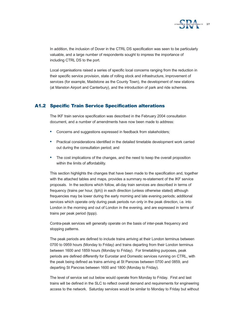

In addition, the inclusion of Dover in the CTRL DS specification was seen to be particularly valuable, and a large number of respondents sought to impress the importance of including CTRL DS to the port.

Local organisations raised a series of specific local concerns ranging from the reduction in their specific service provision, state of rolling stock and infrastructure, improvement of services (for example, Maidstone as the County Town), the development of new stations (at Manston Airport and Canterbury), and the introduction of park and ride schemes.

### A1.2 Specific Train Service Specification alterations

The IKF train service specification was described in the February 2004 consultation document, and a number of amendments have now been made to address:

- **•** Concerns and suggestions expressed in feedback from stakeholders;
- **•** Practical considerations identified in the detailed timetable development work carried out during the consultation period; and
- **•** The cost implications of the changes, and the need to keep the overall proposition within the limits of affordability.

This section highlights the changes that have been made to the specification and, together with the attached tables and maps, provides a summary re-statement of the IKF service proposals. In the sections which follow, all-day train services are described in terms of frequency (trains per hour, (tph)) in each direction (unless otherwise stated) although frequencies may be lower during the early morning and late evening periods; additional services which operate only during peak periods run only in the peak direction, i.e. into London in the morning and out of London in the evening, and are expressed in terms of trains per peak period (tppp).

Contra-peak services will generally operate on the basis of inter-peak frequency and stopping patterns.

The peak periods are defined to include trains arriving at their London terminus between 0700 to 0959 hours (Monday to Friday) and trains departing from their London terminus between 1600 and 1859 hours (Monday to Friday). For timetabling purposes, peak periods are defined differently for Eurostar and Domestic services running on CTRL, with the peak being defined as trains arriving at St Pancras between 0700 and 0859, and departing St Pancras between 1600 and 1800 (Monday to Friday).

The level of service set out below would operate from Monday to Friday. First and last trains will be defined in the SLC to reflect overall demand and requirements for engineering access to the network. Saturday services would be similar to Monday to Friday but without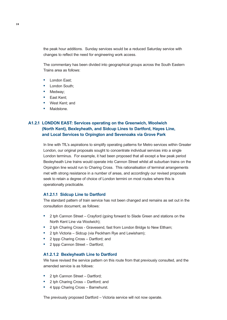the peak hour additions. Sunday services would be a reduced Saturday service with changes to reflect the need for engineering work access.

The commentary has been divided into geographical groups across the South Eastern Trains area as follows:

- **•** London East;
- **•** London South;
- **•** Medway;
- **•** East Kent;
- **•** West Kent; and
- **•** Maidstone.

# **A1.2.1 LONDON EAST: Services operating on the Greenwich, Woolwich (North Kent), Bexleyheath, and Sidcup Lines to Dartford, Hayes Line, and Local Services to Orpington and Sevenoaks via Grove Park**

In line with TfL's aspirations to simplify operating patterns for Metro services within Greater London, our original proposals sought to concentrate individual services into a single London terminus. For example, it had been proposed that all except a few peak period Bexleyheath Line trains would operate into Cannon Street whilst all suburban trains on the Orpington line would run to Charing Cross. This rationalisation of terminal arrangements met with strong resistance in a number of areas, and accordingly our revised proposals seek to retain a degree of choice of London termini on most routes where this is operationally practicable.

#### **A1.2.1.1 Sidcup Line to Dartford**

The standard pattern of train service has not been changed and remains as set out in the consultation document, as follows:

- **•** 2 tph Cannon Street Crayford (going forward to Slade Green and stations on the North Kent Line via Woolwich);
- **•** 2 tph Charing Cross Gravesend, fast from London Bridge to New Eltham;
- **•** 2 tph Victoria Sidcup (via Peckham Rye and Lewisham);
- **•** 2 tppp Charing Cross Dartford; and
- **•** 2 tppp Cannon Street Dartford;

#### **A1.2.1.2 Bexleyheath Line to Dartford**

We have revised the service pattern on this route from that previously consulted, and the amended service is as follows:

- **•** 2 tph Cannon Street Dartford;
- **•** 2 tph Charing Cross Dartford; and
- **•** 4 tppp Charing Cross Barnehurst.

The previously proposed Dartford – Victoria service will not now operate.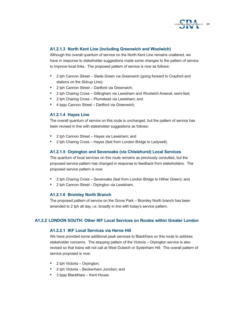

### **A1.2.1.3 North Kent Line (including Greenwich and Woolwich)**

Although the overall quantum of service on the North Kent Line remains unaltered, we have in response to stakeholder suggestions made some changes to the pattern of service to improve local links. The proposed pattern of service is now as follows:

- **•** 2 tph Cannon Street Slade Green via Greenwich (going forward to Crayford and stations on the Sidcup Line);
- **•** 2 tph Cannon Street Dartford via Greenwich;
- **•** 2 tph Charing Cross Gillingham via Lewisham and Woolwich Arsenal, semi-fast;
- **•** 2 tph Charing Cross Plumstead via Lewisham; and
- **•** 4 tppp Cannon Street Dartford via Greenwich;

#### **A1.2.1.4 Hayes Line**

The overall quantum of service on this route is unchanged, but the pattern of service has been revised in line with stakeholder suggestions as follows:

- **•** 2 tph Cannon Street Hayes via Lewisham; and
- **•** 2 tph Charing Cross Hayes (fast from London Bridge to Ladywell).

#### **A1.2.1.5 Orpington and Sevenoaks (via Chislehurst) Local Services**

The quantum of local services on this route remains as previously consulted, but the proposed service pattern has changed in response to feedback from stakeholders. The proposed service pattern is now:

- **•** 2 tph Charing Cross Sevenoaks (fast from London Bridge to Hither Green); and
- **•** 2 tph Cannon Street Orpington via Lewisham.

#### **A1.2.1.6 Bromley North Branch**

The proposed pattern of service on the Grove Park – Bromley North branch has been amended to 2 tph all day, i.e. broadly in line with today's service pattern.

#### **A1.2.2 LONDON SOUTH: Other IKF Local Services on Routes within Greater London**

#### **A1.2.2.1 IKF Local Services via Herne Hill**

We have provided some additional peak services to Blackfriars on this route to address stakeholder concerns. The stopping pattern of the Victoria – Orpington service is also revised so that trains will not call at West Dulwich or Sydenham Hill. The overall pattern of service proposed is now:

- **•** 2 tph Victoria Orpington;
- **•** 2 tph Victoria Beckenham Junction; and
- **•** 3 tppp Blackfriars Kent House.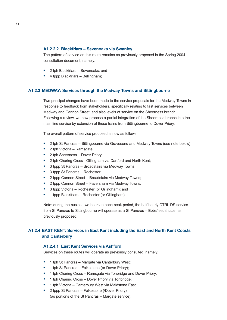#### **A1.2.2.2 Blackfriars – Sevenoaks via Swanley**

The pattern of service on this route remains as previously proposed in the Spring 2004 consultation document, namely:

- **•** 2 tph Blackfriars Sevenoaks; and
- **•** 4 tppp Blackfriars Bellingham;

#### **A1.2.3 MEDWAY: Services through the Medway Towns and Sittingbourne**

Two principal changes have been made to the service proposals for the Medway Towns in response to feedback from stakeholders, specifically relating to fast services between Medway and Cannon Street, and also levels of service on the Sheerness branch. Following a review, we now propose a partial integration of the Sheerness branch into the main line service by extension of these trains from Sittingbourne to Dover Priory.

The overall pattern of service proposed is now as follows:

- **•** 2 tph St Pancras Sittingbourne via Gravesend and Medway Towns (see note below);
- **•** 2 tph Victoria Ramsgate;
- **•** 2 tph Sheerness Dover Priory;
- **•** 2 tph Charing Cross Gillingham via Dartford and North Kent;
- **•** 3 tppp St Pancras Broadstairs via Medway Towns;
- **•** 3 tppp St Pancras Rochester;
- **•** 2 tppp Cannon Street Broadstairs via Medway Towns;
- **•** 2 tppp Cannon Street Faversham via Medway Towns;
- **•** 3 tppp Victoria Rochester (or Gillingham); and
- **•** 1 tppp Blackfriars Rochester (or Gillingham).

Note: during the busiest two hours in each peak period, the half hourly CTRL DS service from St Pancras to Sittingbourne will operate as a St Pancras – Ebbsfleet shuttle, as previously proposed.

### **A1.2.4 EAST KENT: Services in East Kent including the East and North Kent Coasts and Canterbury**

#### **A1.2.4.1 East Kent Services via Ashford**

Services on these routes will operate as previously consulted, namely:

- **•** 1 tph St Pancras Margate via Canterbury West;
- **•** 1 tph St Pancras Folkestone (or Dover Priory);
- **•** 1 tph Charing Cross Ramsgate via Tonbridge and Dover Priory;
- **•** 1 tph Charing Cross Dover Priory via Tonbridge;
- **•** 1 tph Victoria Canterbury West via Maidstone East;
- **•** 2 tppp St Pancras Folkestone (/Dover Priory) (as portions of the St Pancras – Margate service);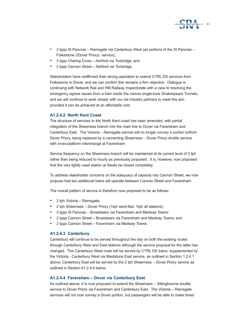

- **•** 2 tppp St Pancras Ramsgate via Canterbury West (as portions of the St Pancras Folkestone (/Dover Priory) service);
- **•** 3 tppp Charing Cross Ashford via Tonbridge; and
- **•** 2 tppp Cannon Street Ashford via Tonbridge.

Stakeholders have reaffirmed their strong aspiration to extend CTRL DS services from Folkestone to Dover, and we can confirm this remains a firm objective. Dialogue is continuing with Network Rail and HM Railway Inspectorate with a view to resolving the emergency egress issues from a train inside the narrow single-bore Shakespeare Tunnels, and we will continue to work closely with our rail industry partners to meet this aim provided it can be achieved at an affordable cost.

#### **A1.2.4.2 North Kent Coast**

The structure of services to the North Kent coast has been amended, with partial integration of the Sheerness branch into the main line to Dover via Faversham and Canterbury East. The Victoria – Ramsgate service will no longer convey a portion to/from Dover Priory, being replaced by a connecting Sheerness – Dover Priory shuttle service with cross-platform interchange at Faversham.

Service frequency on the Sheerness branch will be maintained at its current level of 2 tph rather than being reduced to hourly as previously proposed. It is, however, now proposed that the very lightly used station at Swale be closed completely.

To address stakeholder concerns on the adequacy of capacity into Cannon Street, we now propose that two additional trains will operate between Cannon Street and Faversham.

The overall pattern of service is therefore now proposed to be as follows:

- **•** 2 tph Victoria Ramsgate;
- **•** 2 tph Sheerness Dover Priory (1tph semi-fast, 1tph all stations);
- **•** 3 tppp St Pancras Broadstairs via Faversham and Medway Towns;
- **•** 2 tppp Cannon Street Broadstairs via Faversham and Medway Towns; and
- **•** 2 tppp Cannon Street Faversham via Medway Towns.

#### **A1.2.4.3 Canterbury**

Canterbury will continue to be served throughout the day on both the existing routes through Canterbury West and East stations although the service proposal for the latter has changed. The Canterbury West route will be served by CTRL DS trains, supplemented by the Victoria - Canterbury West via Maidstone East service, as outlined in Section 1.2.4.1 above; Canterbury East will be served by the 2 tph Sheerness – Dover Priory service as outlined in Section A1.2.4.4 below.

#### **A1.2.4.4 Faversham – Dover via Canterbury East**

As outlined above, it is now proposed to extend the Sheerness – Sittingbourne shuttle service to Dover Priory via Faversham and Canterbury East. The Victoria – Ramsgate services will not now convey a Dover portion, but passengers will be able to make timed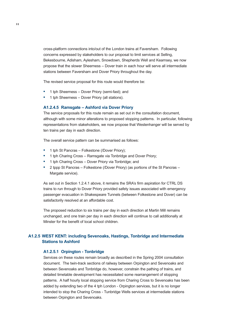cross-platform connections into/out of the London trains at Faversham. Following concerns expressed by stakeholders to our proposal to limit services at Selling, Bekesbourne, Adisham, Aylesham, Snowdown, Shepherds Well and Kearnsey, we now propose that the slower Sheerness – Dover train in each hour will serve all intermediate stations between Faversham and Dover Priory throughout the day.

The revised service proposal for this route would therefore be:

- **•** 1 tph Sheerness Dover Priory (semi-fast); and
- **•** 1 tph Sheerness Dover Priory (all stations).

#### **A1.2.4.5 Ramsgate – Ashford via Dover Priory**

The service proposals for this route remain as set out in the consultation document, although with some minor alterations to proposed stopping patterns. In particular, following representations from stakeholders, we now propose that Westenhanger will be served by ten trains per day in each direction.

The overall service pattern can be summarised as follows:

- **•** 1 tph St Pancras Folkestone (/Dover Priory);
- **•** 1 tph Charing Cross Ramsgate via Tonbridge and Dover Priory;
- **•** 1 tph Charing Cross Dover Priory via Tonbridge; and
- **•** 2 tppp St Pancras Folkestone (/Dover Priory) (as portions of the St Pancras Margate service).

As set out in Section 1.2.4.1 above, it remains the SRA's firm aspiration for CTRL DS trains to run through to Dover Priory provided safety issues associated with emergency passenger evacuation in Shakespeare Tunnels (between Folkestone and Dover) can be satisfactorily resolved at an affordable cost.

The proposed reduction to six trains per day in each direction at Martin Mill remains unchanged, and one train per day in each direction will continue to call additionally at Minster for the benefit of local school children.

### **A1.2.5 WEST KENT: including Sevenoaks, Hastings, Tonbridge and Intermediate Stations to Ashford**

#### **A1.2.5.1 Orpington - Tonbridge**

Services on these routes remain broadly as described in the Spring 2004 consultation document. The twin-track sections of railway between Orpington and Sevenoaks and between Sevenoaks and Tonbridge do, however, constrain the pathing of trains, and detailed timetable development has necessitated some rearrangement of stopping patterns. A half hourly local stopping service from Charing Cross to Sevenoaks has been added by extending two of the 4 tph London - Orpington services, but it is no longer intended to stop the Charing Cross - Tunbridge Wells services at intermediate stations between Orpington and Sevenoaks.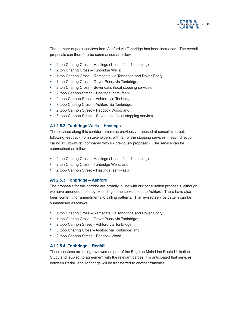

The number of peak services from Ashford via Tonbridge has been increased. The overall proposals can therefore be summarised as follows:

- **•** 2 tph Charing Cross Hastings (1 semi-fast, 1 stopping);
- **•** 2 tph Charing Cross Tunbridge Wells;
- **•** 1 tph Charing Cross Ramsgate via Tonbridge and Dover Priory;
- **•** 1 tph Charing Cross Dover Priory via Tonbridge;
- **•** 2 tph Charing Cross Sevenoaks (local stopping service);
- **•** 2 tppp Cannon Street Hastings (semi-fast);
- **•** 2 tppp Cannon Street Ashford via Tonbridge;
- **•** 3 tppp Charing Cross Ashford via Tonbridge;
- **•** 2 tppp Cannon Street Paddock Wood; and
- **•** 3 tppp Cannon Street Sevenoaks (local stopping service).

#### **A1.2.5.2 Tunbridge Wells – Hastings**

The services along this corridor remain as previously proposed at consultation but, following feedback from stakeholders, with ten of the stopping services in each direction calling at Crowhurst (compared with six previously proposed). The service can be summarised as follows:

- **•** 2 tph Charing Cross Hastings (1 semi-fast, 1 stopping);
- **•** 2 tph Charing Cross Tunbridge Wells; and
- **•** 2 tppp Cannon Street Hastings (semi-fast).

#### **A1.2.5.3 Tonbridge – Ashford**

The proposals for this corridor are broadly in line with our consultation proposals, although we have amended these by extending some services out to Ashford. There have also been some minor amendments to calling patterns. The revised service pattern can be summarised as follows:

- **•** 1 tph Charing Cross Ramsgate via Tonbridge and Dover Priory;
- **•** 1 tph Charing Cross Dover Priory via Tonbridge;
- **•** 2 tppp Cannon Street Ashford via Tonbridge;
- **•** 3 tppp Charing Cross Ashford via Tonbridge; and
- **•** 2 tppp Cannon Street Paddock Wood.

#### **A1.2.5.4 Tonbridge – Redhill**

These services are being reviewed as part of the Brighton Main Line Route Utilisation Study and, subject to agreement with the relevant parties, it is anticipated that services between Redhill and Tonbridge will be transferred to another franchise.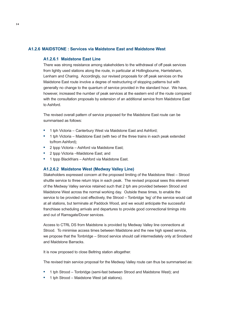#### **A1.2.6 MAIDSTONE : Services via Maidstone East and Maidstone West**

#### **A1.2.6.1 Maidstone East Line**

There was strong resistance among stakeholders to the withdrawal of off peak services from lightly used stations along the route, in particular at Hollingbourne, Harrietsham, Lenham and Charing. Accordingly, our revised proposals for off peak services on the Maidstone East route involve a degree of restructuring of stopping patterns but with generally no change to the quantum of service provided in the standard hour. We have, however, increased the number of peak services at the eastern end of the route compared with the consultation proposals by extension of an additional service from Maidstone East to Ashford.

The revised overall pattern of service proposed for the Maidstone East route can be summarised as follows:

- **•** 1 tph Victoria Canterbury West via Maidstone East and Ashford;
- **•** 1 tph Victoria Maidstone East (with two of the three trains in each peak extended to/from Ashford);
- **•** 2 tppp Victoria Ashford via Maidstone East;
- **•** 2 tppp Victoria –Maidstone East; and
- **•** 1 tppp Blackfriars Ashford via Maidstone East.

#### **A1.2.6.2 Maidstone West (Medway Valley Line)**

Stakeholders expressed concern at the proposed limiting of the Maidstone West – Strood shuttle service to three return trips in each peak. The revised proposal sees this element of the Medway Valley service retained such that 2 tph are provided between Strood and Maidstone West across the normal working day. Outside these times, to enable the service to be provided cost effectively, the Strood – Tonbridge 'leg' of the service would call at all stations, but terminate at Paddock Wood, and we would anticipate the successful franchisee scheduling arrivals and departures to provide good connectional timings into and out of Ramsgate/Dover services.

Access to CTRL DS from Maidstone is provided by Medway Valley line connections at Strood. To minimise access times between Maidstone and the new high speed service, we propose that the Tonbridge – Strood service should call intermediately only at Snodland and Maidstone Barracks.

It is now proposed to close Beltring station altogether.

The revised train service proposal for the Medway Valley route can thus be summarised as:

- **•** 1 tph Strood Tonbridge (semi-fast between Strood and Maidstone West); and
- **•** 1 tph Strood Maidstone West (all stations).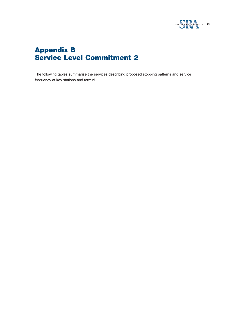

# **Appendix B Service Level Commitment 2**

The following tables summarise the services describing proposed stopping patterns and service frequency at key stations and termini.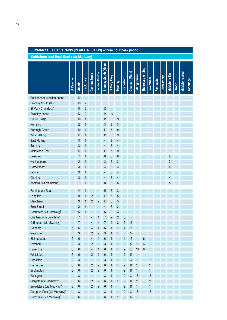# **SUMMARY OF PEAK TRAINS (PEAK DIRECTION) – three hour peak period**

**Maidstone and East Kent (via Medway)**

|                                       |            |                  |                    |                      |                | Bromley South (Main) |              |         |                |                |                  | Sheemess-on-Sea |                |          |              |                       |               |                       |           |
|---------------------------------------|------------|------------------|--------------------|----------------------|----------------|----------------------|--------------|---------|----------------|----------------|------------------|-----------------|----------------|----------|--------------|-----------------------|---------------|-----------------------|-----------|
|                                       | St Pancras |                  | <b>Blackfriars</b> | <b>Cannon Street</b> | London Bridge  |                      | St Mary Cray |         | Rochester      | Chatham (Main) | Sittingbourne    |                 | Faversham      | Ramsgate | Dover Priory | <b>Maidstone East</b> |               | <b>Maidstone West</b> | Tonbridge |
|                                       |            | <b>Victoria</b>  |                    |                      |                |                      |              | Swanley |                |                |                  |                 |                |          |              |                       | <b>Strood</b> |                       |           |
| Beckenham Junction (fast)*            |            | 10               |                    |                      |                |                      |              |         |                |                |                  |                 |                |          |              |                       |               |                       |           |
| Bromley South (fast)*                 |            | 19               | $\overline{c}$     |                      |                |                      |              |         |                |                |                  |                 |                |          |              |                       |               |                       |           |
| St Mary Cray (fast)*                  |            | 8                | $\overline{2}$     |                      |                | 10                   |              |         |                |                |                  |                 |                |          |              |                       |               |                       |           |
| Swanley (fast)*                       |            | 12               | $\overline{c}$     |                      |                | 14                   | 10           |         |                |                |                  |                 |                |          |              |                       |               |                       |           |
| Otford (fast)*                        |            | 10               |                    |                      |                | 11                   | 5            | g       |                |                |                  |                 |                |          |              |                       |               |                       |           |
| Kemsing                               |            | $\overline{2}$   | 1                  |                      |                | 3                    | 3            | 3       |                |                |                  |                 |                |          |              |                       |               |                       |           |
| <b>Borough Green</b>                  |            | 10               |                    |                      |                | 11                   | 5            | 9       |                |                |                  |                 |                |          |              |                       |               |                       |           |
| <b>West Malling</b>                   |            | 10               |                    |                      |                | 11                   | 5            | 9       |                |                |                  |                 |                |          |              |                       |               |                       |           |
| <b>East Malling</b>                   |            | 3                |                    |                      |                | 4                    | 3            | 4       |                |                |                  |                 |                |          |              |                       |               |                       |           |
| <b>Barming</b>                        |            | 3                |                    |                      |                | 4                    | 3            | 4       |                |                |                  |                 |                |          |              |                       |               |                       |           |
| <b>Maidstone East</b>                 |            | 10               |                    |                      |                | 11                   | 5            | 9       |                |                |                  |                 |                |          |              |                       |               |                       |           |
| <b>Bearsted</b>                       |            | $\prime$         |                    |                      |                | 8                    | 3            | 6       |                |                |                  |                 |                |          |              | 8                     |               |                       |           |
| Hollingbourne                         |            | $\overline{2}$   |                    |                      |                | 3                    | 3            | 3       |                |                |                  |                 |                |          |              | 3                     |               |                       |           |
| Harrietsham                           |            | 3                |                    |                      |                | 4                    | 3            | 4       |                |                |                  |                 |                |          |              | 4                     |               |                       |           |
| Lenham                                |            | 3                |                    |                      |                | 4                    | 3            | 4       |                |                |                  |                 |                |          |              | 4                     |               |                       |           |
| Charing                               |            | 3                |                    |                      |                | 4                    | 3            | 4       |                |                |                  |                 |                |          |              | 4                     |               |                       |           |
| Ashford (via Maidstone)               |            |                  |                    |                      |                | 8                    | 3            | 6       |                |                |                  |                 |                |          |              | 8                     |               |                       |           |
| Farningham Road                       |            | 4                |                    |                      |                | 5                    | 3            | 3       |                |                |                  |                 |                |          |              |                       |               |                       |           |
| Longfield                             |            | 9                |                    | 2                    | 2              | 10                   | 5            | 5       |                |                |                  |                 |                |          |              |                       |               |                       |           |
| Meopham                               |            | 9                |                    |                      |                | 10                   | 5            | 5       |                |                |                  |                 |                |          |              |                       |               |                       |           |
| Sole Street                           |            | 3                |                    |                      |                | 4                    | 3            | 3       |                |                |                  |                 |                |          |              |                       |               |                       |           |
| Rochester (via Swanley) <sup>†</sup>  |            | 5                |                    |                      |                | 6                    | 3            | 3       |                |                |                  |                 |                |          |              |                       |               |                       |           |
| Chatham (via Swanley) <sup>†</sup>    |            |                  |                    | 4                    | 4              |                      | 2            | 2       | 5              |                |                  |                 |                |          |              |                       |               |                       |           |
| Gillingham (via Swanley) <sup>†</sup> |            |                  |                    | 4                    | 4              |                      | 2            | 2       | 5              | 16             |                  |                 |                |          |              |                       |               |                       |           |
| Rainham                               | 5          | $6\phantom{1}6$  |                    | $\overline{4}$       | $\overline{4}$ | 6                    |              |         | $\overline{4}$ | 15             |                  |                 |                |          |              |                       |               |                       |           |
| Newington                             |            | $\mathfrak{S}$   |                    | $\overline{c}$       | $\overline{c}$ | 3                    | 1            |         |                | 5              |                  |                 |                |          |              |                       |               |                       |           |
| Sittingbourne                         | 5          | $\boldsymbol{6}$ |                    | $\overline{4}$       | $\overline{4}$ | $6\phantom{.}6$      |              | 1       | 4              | 15             |                  | 6               |                |          |              |                       |               |                       |           |
| Teynham                               |            | 3                |                    | $\overline{2}$       | $\overline{2}$ | 3                    |              | 1       | 2              | 5              | 11               | $6\phantom{a}$  |                |          |              |                       |               |                       |           |
| Faversham                             | 3          | 6                |                    | $\overline{4}$       | $\overline{4}$ | 6                    |              |         | 2              | 13             | 19               | $6\phantom{a}$  |                |          |              |                       |               |                       |           |
| Whitstable                            | 3          | 6                |                    | $\sqrt{2}$           | $\overline{c}$ | 6                    | 1            | 1       | $\sqrt{2}$     | 11             | 11               |                 | 11             |          |              |                       |               |                       |           |
| Chestfield                            |            | 3                |                    |                      |                | 3                    |              | 1       | 2              | 3              | 3                |                 | $\mathfrak{S}$ |          |              |                       |               |                       |           |
| Herne Bay                             | 3          | 6                |                    | $\overline{c}$       | $\overline{2}$ | 6                    |              |         | $\overline{c}$ | 11             | 11               |                 | 11             |          |              |                       |               |                       |           |
| Birchington                           | 3          | 6                |                    | $\overline{2}$       | $\sqrt{2}$     | 6                    |              | 1       | 2              | 11             | 11               |                 | 11             |          |              |                       |               |                       |           |
| Westgate                              |            | 3                |                    |                      |                | 3                    |              | 1       | 2              | 3              | $\mathfrak{B}$   |                 | $\mathfrak{S}$ |          |              |                       |               |                       |           |
| Margate (via Medway)^                 | 3          | 6                |                    | $\overline{c}$       | 2              | 6                    |              |         | 2              | 11             | 11               |                 | 11             |          |              |                       |               |                       |           |
| Broadstairs (via Medway)^             | $\sqrt{3}$ | 6                |                    | 2                    | $\sqrt{2}$     | 6                    | 1            | 1       | 2              | 11             | 11               |                 | 11             |          |              |                       |               |                       |           |
| Dumpton Park (via Medway)^            |            | $\mathfrak{S}$   |                    |                      |                | 3                    |              | 1       | 2              | 3              | $\mathfrak{B}$   |                 | 3              |          |              |                       |               |                       |           |
| Ramsgate (via Medway)^                |            | 6                |                    |                      |                | 6                    |              |         | 2              | 6              | $\boldsymbol{6}$ |                 | 6              |          |              |                       |               |                       |           |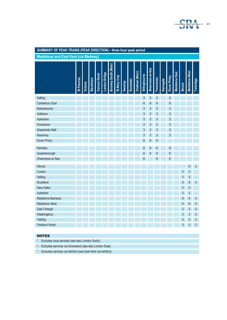

# **SUMMARY OF PEAK TRAINS (PEAK DIRECTION) – three hour peak period**

**Maidstone and East Kent (via Medway)**

|                                                                | St Pancras | <b>Victoria</b> | <b>Blackfriars</b> | <b>Cannon Street</b> | London Bridge | Bromley South (Main) | St Mary Cray | Swanley | Rochester | Chatham (Main) | Sittingbourne  | Sheemess-on-Sea | Faversham | Ramsgate | Dover Priory | <b>Maidstone East</b> | <b>Strood</b>  | <b>Maidstone West</b> | Tonbridge      |
|----------------------------------------------------------------|------------|-----------------|--------------------|----------------------|---------------|----------------------|--------------|---------|-----------|----------------|----------------|-----------------|-----------|----------|--------------|-----------------------|----------------|-----------------------|----------------|
| Selling                                                        |            |                 |                    |                      |               |                      |              |         |           |                | $\mathfrak{S}$ | $\mathfrak{S}$  | 3         |          | 3            |                       |                |                       |                |
| <b>Canterbury East</b>                                         |            |                 |                    |                      |               |                      |              |         |           |                | $6\phantom{a}$ | $6\phantom{a}$  | 6         |          | 6            |                       |                |                       |                |
| Bekesbourne                                                    |            |                 |                    |                      |               |                      |              |         |           |                | 3              | 3               | 3         |          | 3            |                       |                |                       |                |
| Adisham                                                        |            |                 |                    |                      |               |                      |              |         |           |                | 3              | $\mathfrak{S}$  | 3         |          | 3            |                       |                |                       |                |
| Aylesham                                                       |            |                 |                    |                      |               |                      |              |         |           |                | 3              | $\mathfrak{S}$  | 3         |          | 3            |                       |                |                       |                |
| Snowdown                                                       |            |                 |                    |                      |               |                      |              |         |           |                | 3              | 3               | 3         |          | 3            |                       |                |                       |                |
| Shepherds Well                                                 |            |                 |                    |                      |               |                      |              |         |           |                | 3              | $\mathfrak{S}$  | 3         |          | 3            |                       |                |                       |                |
| Kearsney                                                       |            |                 |                    |                      |               |                      |              |         |           |                | 3              | $\mathfrak{S}$  | 3         |          | 3            |                       |                |                       |                |
| Dover Priory                                                   |            |                 |                    |                      |               |                      |              |         |           |                | 6              | $6\phantom{a}$  | 6         |          |              |                       |                |                       |                |
| Kemsley                                                        |            |                 |                    |                      |               |                      |              |         |           |                | 6              | 6               | 6         |          | 6            |                       |                |                       |                |
| Queenborough                                                   |            |                 |                    |                      |               |                      |              |         |           |                | 6              | $6\phantom{a}$  | 6         |          | 6            |                       |                |                       |                |
| Sheerness-on-Sea                                               |            |                 |                    |                      |               |                      |              |         |           |                | 6              |                 | 6         |          | 6            |                       |                |                       |                |
| Strood                                                         |            |                 |                    |                      |               |                      |              |         |           |                |                |                 |           |          |              |                       |                | 6                     | $\mathfrak{S}$ |
| Cuxton                                                         |            |                 |                    |                      |               |                      |              |         |           |                |                |                 |           |          |              |                       | 3              | 3                     |                |
| Halling                                                        |            |                 |                    |                      |               |                      |              |         |           |                |                |                 |           |          |              |                       | $\sqrt{3}$     | $\mathfrak{S}$        |                |
| Snodland                                                       |            |                 |                    |                      |               |                      |              |         |           |                |                |                 |           |          |              |                       | $6\phantom{a}$ | 6                     | $\mathfrak{S}$ |
| New Hythe                                                      |            |                 |                    |                      |               |                      |              |         |           |                |                |                 |           |          |              |                       | $\mathfrak{S}$ | 3                     |                |
| Aylesford                                                      |            |                 |                    |                      |               |                      |              |         |           |                |                |                 |           |          |              |                       | 3              | $\mathfrak{S}$        |                |
| <b>Maidstone Barracks</b>                                      |            |                 |                    |                      |               |                      |              |         |           |                |                |                 |           |          |              |                       | 6              | $\boldsymbol{6}$      | $\sqrt{3}$     |
| <b>Maidstone West</b>                                          |            |                 |                    |                      |               |                      |              |         |           |                |                |                 |           |          |              |                       | 6              | 6                     | 3              |
| <b>East Farleigh</b>                                           |            |                 |                    |                      |               |                      |              |         |           |                |                |                 |           |          |              |                       | 3              | $\mathfrak{S}$        | $\mathfrak{S}$ |
| Wateringbury                                                   |            |                 |                    |                      |               |                      |              |         |           |                |                |                 |           |          |              |                       | 3              | $\mathfrak{S}$        | $\mathfrak{Z}$ |
| Yalding                                                        |            |                 |                    |                      |               |                      |              |         |           |                |                |                 |           |          |              |                       | 3              | $\mathfrak{S}$        | $\mathfrak{Z}$ |
| Paddock Wood                                                   |            |                 |                    |                      |               |                      |              |         |           |                |                |                 |           |          |              |                       | $\overline{3}$ | $\overline{3}$        | $\overline{3}$ |
|                                                                |            |                 |                    |                      |               |                      |              |         |           |                |                |                 |           |          |              |                       |                |                       |                |
| <b>NOTES</b>                                                   |            |                 |                    |                      |               |                      |              |         |           |                |                |                 |           |          |              |                       |                |                       |                |
| $\star$<br>Excludes local services (see also London South)     |            |                 |                    |                      |               |                      |              |         |           |                |                |                 |           |          |              |                       |                |                       |                |
| t<br>Excludes services via Gravesend (see also London East)    |            |                 |                    |                      |               |                      |              |         |           |                |                |                 |           |          |              |                       |                |                       |                |
| Λ<br>Excludes services via Ashford (see East Kent via Ashford) |            |                 |                    |                      |               |                      |              |         |           |                |                |                 |           |          |              |                       |                |                       |                |

#### NOTES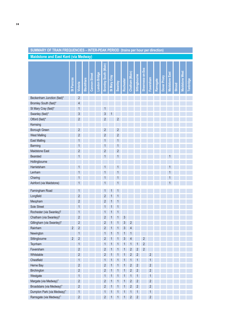|  |  | SUMMARY OF TRAIN FREQUENCIES – INTER-PEAK PERIOD(trains per hour per direction) |  |
|--|--|---------------------------------------------------------------------------------|--|
|--|--|---------------------------------------------------------------------------------|--|

**Maidstone and East Kent (via Medway)**

|                                       | St Pancras     | <b>Victoria</b> | <b>Blackfriars</b> | <b>Cannon Street</b> | London Bridge | Bromley South (Main) | <b>St Mary Cray</b> | Swanley | Rochester | Chatham (Main) | Sittingbourne  | Sheemess-on-Sea | Faversham      | Ramsgate | Dover Priory | <b>Maidstone East</b> | <b>Strood</b> | <b>Maidstone West</b> | Tonbridge |
|---------------------------------------|----------------|-----------------|--------------------|----------------------|---------------|----------------------|---------------------|---------|-----------|----------------|----------------|-----------------|----------------|----------|--------------|-----------------------|---------------|-----------------------|-----------|
| Beckenham Junction (fast)*            |                | $\overline{2}$  |                    |                      |               |                      |                     |         |           |                |                |                 |                |          |              |                       |               |                       |           |
| Bromley South (fast)*                 |                | 4               |                    |                      |               |                      |                     |         |           |                |                |                 |                |          |              |                       |               |                       |           |
| St Mary Cray (fast)*                  |                |                 |                    |                      |               |                      |                     |         |           |                |                |                 |                |          |              |                       |               |                       |           |
| Swanley (fast)*                       |                | 3               |                    |                      |               | 3                    |                     |         |           |                |                |                 |                |          |              |                       |               |                       |           |
| Otford (fast)*                        |                | 2               |                    |                      |               | 2                    |                     |         |           |                |                |                 |                |          |              |                       |               |                       |           |
| Kemsing                               |                |                 |                    |                      |               |                      |                     |         |           |                |                |                 |                |          |              |                       |               |                       |           |
| <b>Borough Green</b>                  |                | 2               |                    |                      |               | 2                    |                     | 2       |           |                |                |                 |                |          |              |                       |               |                       |           |
| <b>West Malling</b>                   |                | 2               |                    |                      |               | 2                    |                     | 2       |           |                |                |                 |                |          |              |                       |               |                       |           |
| <b>East Malling</b>                   |                |                 |                    |                      |               |                      |                     |         |           |                |                |                 |                |          |              |                       |               |                       |           |
| <b>Barming</b>                        |                |                 |                    |                      |               |                      |                     |         |           |                |                |                 |                |          |              |                       |               |                       |           |
| <b>Maidstone East</b>                 |                | 2               |                    |                      |               | 2                    |                     | 2       |           |                |                |                 |                |          |              |                       |               |                       |           |
| <b>Bearsted</b>                       |                |                 |                    |                      |               |                      |                     |         |           |                |                |                 |                |          |              |                       |               |                       |           |
| Hollingbourne                         |                |                 |                    |                      |               |                      |                     |         |           |                |                |                 |                |          |              |                       |               |                       |           |
| Harrietsham                           |                |                 |                    |                      |               |                      |                     |         |           |                |                |                 |                |          |              |                       |               |                       |           |
| Lenham                                |                |                 |                    |                      |               |                      |                     |         |           |                |                |                 |                |          |              |                       |               |                       |           |
| Charing                               |                |                 |                    |                      |               |                      |                     |         |           |                |                |                 |                |          |              |                       |               |                       |           |
| Ashford (via Maidstone)               |                |                 |                    |                      |               |                      |                     |         |           |                |                |                 |                |          |              |                       |               |                       |           |
|                                       |                |                 |                    |                      |               |                      |                     |         |           |                |                |                 |                |          |              |                       |               |                       |           |
| Farningham Road                       |                |                 |                    |                      |               |                      |                     |         |           |                |                |                 |                |          |              |                       |               |                       |           |
| Longfield                             |                | $\overline{2}$  |                    |                      |               | 2                    |                     |         |           |                |                |                 |                |          |              |                       |               |                       |           |
| Meopham                               |                | $\overline{c}$  |                    |                      |               | 2                    |                     |         |           |                |                |                 |                |          |              |                       |               |                       |           |
| Sole Street                           |                |                 |                    |                      |               |                      |                     |         |           |                |                |                 |                |          |              |                       |               |                       |           |
| Rochester (via Swanley) <sup>†</sup>  |                |                 |                    |                      |               |                      |                     |         |           |                |                |                 |                |          |              |                       |               |                       |           |
| Chatham (via Swanley) <sup>†</sup>    |                | $\overline{c}$  |                    |                      |               | 2                    |                     |         | 3         |                |                |                 |                |          |              |                       |               |                       |           |
| Gillingham (via Swanley) <sup>†</sup> |                | 2               |                    |                      |               | 2                    |                     |         | 3         | 2              |                |                 |                |          |              |                       |               |                       |           |
| Rainham                               | $\overline{c}$ | $\overline{2}$  |                    |                      |               | $\overline{c}$       |                     |         | 3         | $\overline{4}$ |                |                 |                |          |              |                       |               |                       |           |
| Newington                             |                | 1               |                    |                      |               | 1                    | 1                   | 1       | 1         | $\mathbf 1$    |                |                 |                |          |              |                       |               |                       |           |
| Sittingbourne                         | $\overline{2}$ | $\overline{2}$  |                    |                      |               | 2                    |                     |         | 3         | 4              |                | $\overline{2}$  |                |          |              |                       |               |                       |           |
| Teynham                               |                | 1               |                    |                      |               | 1                    |                     |         |           | 1              |                | $\overline{c}$  |                |          |              |                       |               |                       |           |
| Faversham                             |                | 2               |                    |                      |               | 2                    |                     |         |           | 2              | 2              | $\overline{c}$  |                |          |              |                       |               |                       |           |
| Whitstable                            |                | 2               |                    |                      |               | 2                    |                     |         |           | 2              | $\overline{c}$ |                 | 2              |          |              |                       |               |                       |           |
| Chestfield                            |                | 1               |                    |                      |               |                      |                     |         |           |                |                |                 | 1              |          |              |                       |               |                       |           |
| Herne Bay                             |                | $\overline{2}$  |                    |                      |               | 2                    |                     |         |           | $\overline{c}$ | $\overline{c}$ |                 | $\overline{2}$ |          |              |                       |               |                       |           |
| Birchington                           |                | 2               |                    |                      |               | 2                    |                     |         |           | 2              | $\overline{c}$ |                 | $\overline{2}$ |          |              |                       |               |                       |           |
| Westgate                              |                | 1               |                    |                      |               | 1                    |                     |         |           | 1              | 1              |                 | 1              |          |              |                       |               |                       |           |
| Margate (via Medway)^                 |                | 2               |                    |                      |               | 2                    |                     |         |           | $\overline{c}$ | $\overline{c}$ |                 | $\overline{2}$ |          |              |                       |               |                       |           |
| Broadstairs (via Medway)^             |                | 2               |                    |                      |               | $\overline{2}$       |                     |         |           | 2              | $\overline{c}$ |                 | 2              |          |              |                       |               |                       |           |
| Dumpton Park (via Medway)^            |                | 1               |                    |                      |               | 1                    |                     |         |           |                | 1              |                 | 1              |          |              |                       |               |                       |           |
| Ramsgate (via Medway)^                |                | $\overline{2}$  |                    |                      |               | $\overline{2}$       | 1                   | 1       | 1         | 2              | $\overline{2}$ |                 | $\overline{2}$ |          |              |                       |               |                       |           |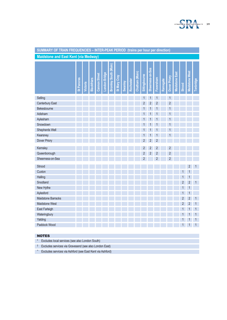

| SUMMARY OF TRAIN FREQUENCIES - INTER-PEAK PERIOD (trains per hour per direction) |            |          |                    |                      |               |                      |              |                |           |                |                |                 |                |          |                |                       |                |                       |           |
|----------------------------------------------------------------------------------|------------|----------|--------------------|----------------------|---------------|----------------------|--------------|----------------|-----------|----------------|----------------|-----------------|----------------|----------|----------------|-----------------------|----------------|-----------------------|-----------|
| <b>Maidstone and East Kent (via Medway)</b>                                      |            |          |                    |                      |               |                      |              |                |           |                |                |                 |                |          |                |                       |                |                       |           |
|                                                                                  | St Pancras | Victoria | <b>Blackfriars</b> | <b>Cannon Street</b> | London Bridge | Bromley South (Main) | St Mary Cray | <b>Swanley</b> | Rochester | Chatham (Main) | Sittingbourne  | Sheemess-on-Sea | Faversham      | Ramsgate | Dover Priory   | <b>Maidstone East</b> | <b>Strood</b>  | <b>Maidstone West</b> | Tonbridge |
| Selling                                                                          |            |          |                    |                      |               |                      |              |                |           |                |                |                 |                |          | 1              |                       |                |                       |           |
| Canterbury East                                                                  |            |          |                    |                      |               |                      |              |                |           |                | $\overline{2}$ | 2               |                |          | $\overline{c}$ |                       |                |                       |           |
| Bekesbourne                                                                      |            |          |                    |                      |               |                      |              |                |           |                |                |                 |                |          |                |                       |                |                       |           |
| Adisham                                                                          |            |          |                    |                      |               |                      |              |                |           |                |                |                 |                |          | 1              |                       |                |                       |           |
| Aylesham                                                                         |            |          |                    |                      |               |                      |              |                |           |                |                |                 |                |          |                |                       |                |                       |           |
|                                                                                  |            |          |                    |                      |               |                      |              |                |           |                |                |                 |                |          |                |                       |                |                       |           |
| Snowdown<br>Shepherds Well                                                       |            |          |                    |                      |               |                      |              |                |           |                |                |                 |                |          |                |                       |                |                       |           |
| Kearsney                                                                         |            |          |                    |                      |               |                      |              |                |           |                |                |                 |                |          |                |                       |                |                       |           |
| Dover Priory                                                                     |            |          |                    |                      |               |                      |              |                |           |                | 2              | 2               | 2              |          |                |                       |                |                       |           |
| Kemsley                                                                          |            |          |                    |                      |               |                      |              |                |           |                | $\overline{c}$ | 2               | 2              |          | 2              |                       |                |                       |           |
| Queenborough                                                                     |            |          |                    |                      |               |                      |              |                |           |                | $\overline{2}$ | $\overline{2}$  | $\overline{2}$ |          | $\overline{c}$ |                       |                |                       |           |
| Sheerness-on-Sea                                                                 |            |          |                    |                      |               |                      |              |                |           |                | 2              |                 | 2              |          | 2              |                       |                |                       |           |
| Strood                                                                           |            |          |                    |                      |               |                      |              |                |           |                |                |                 |                |          |                |                       |                | 2                     |           |
| Cuxton                                                                           |            |          |                    |                      |               |                      |              |                |           |                |                |                 |                |          |                |                       |                | 1                     |           |
| Halling                                                                          |            |          |                    |                      |               |                      |              |                |           |                |                |                 |                |          |                |                       |                | 1                     |           |
| Snodland                                                                         |            |          |                    |                      |               |                      |              |                |           |                |                |                 |                |          |                |                       | $\overline{c}$ | $\overline{2}$        | 1         |
| New Hythe                                                                        |            |          |                    |                      |               |                      |              |                |           |                |                |                 |                |          |                |                       | 1              | 1                     |           |
| Aylesford                                                                        |            |          |                    |                      |               |                      |              |                |           |                |                |                 |                |          |                |                       | 1              | $\mathbf{1}$          |           |
| <b>Maidstone Barracks</b>                                                        |            |          |                    |                      |               |                      |              |                |           |                |                |                 |                |          |                |                       | $\overline{c}$ | $\overline{c}$        | 1         |
| Maidstone West                                                                   |            |          |                    |                      |               |                      |              |                |           |                |                |                 |                |          |                |                       | $\overline{2}$ | $\overline{c}$        | 1         |
| East Farleigh                                                                    |            |          |                    |                      |               |                      |              |                |           |                |                |                 |                |          |                |                       |                | 1                     | 1         |
| Wateringbury                                                                     |            |          |                    |                      |               |                      |              |                |           |                |                |                 |                |          |                |                       | 1              | 1                     | 1         |
| Yalding                                                                          |            |          |                    |                      |               |                      |              |                |           |                |                |                 |                |          |                |                       |                |                       |           |
| Paddock Wood                                                                     |            |          |                    |                      |               |                      |              |                |           |                |                |                 |                |          |                |                       |                |                       | 1         |
|                                                                                  |            |          |                    |                      |               |                      |              |                |           |                |                |                 |                |          |                |                       |                |                       |           |
| <b>NOTES</b>                                                                     |            |          |                    |                      |               |                      |              |                |           |                |                |                 |                |          |                |                       |                |                       |           |
| Excludes local services (see also London South)<br>$\star$                       |            |          |                    |                      |               |                      |              |                |           |                |                |                 |                |          |                |                       |                |                       |           |
| Excludes services via Gravesend (see also London East)<br>Ť                      |            |          |                    |                      |               |                      |              |                |           |                |                |                 |                |          |                |                       |                |                       |           |
| Λ<br>Excludes services via Ashford (see East Kent via Ashford)                   |            |          |                    |                      |               |                      |              |                |           |                |                |                 |                |          |                |                       |                |                       |           |

#### NOTES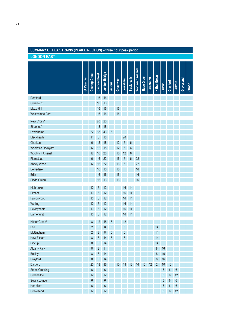# **SUMMARY OF PEAK TRAINS (PEAK DIRECTION) – three hour peak period**

**LONDON EAST**

|                           | St Pancras | <b>Charing Cross</b> | <b>Cannon Street</b> | London Bridge   |                  |           |                 | <b>Blackheath</b> | <b>Woolwich Arsenal</b> | Slade Green | <b>Barnehurst</b> | <b>Hither Green</b> |        |                  |                  |           |        |
|---------------------------|------------|----------------------|----------------------|-----------------|------------------|-----------|-----------------|-------------------|-------------------------|-------------|-------------------|---------------------|--------|------------------|------------------|-----------|--------|
|                           |            |                      |                      |                 | <b>Victoria</b>  | Greenwich | Lewisham        |                   |                         |             |                   |                     | Sidcup | Crayford         | <b>Dartford</b>  | Gravesend | Strood |
| Deptford                  |            |                      | 16                   | 16              |                  |           |                 |                   |                         |             |                   |                     |        |                  |                  |           |        |
| Greenwich                 |            |                      | 16                   | 16              |                  |           |                 |                   |                         |             |                   |                     |        |                  |                  |           |        |
| Maze Hill                 |            |                      | 16                   | 16              |                  | 16        |                 |                   |                         |             |                   |                     |        |                  |                  |           |        |
| <b>Westcombe Park</b>     |            |                      | 16                   | 16              |                  | 16        |                 |                   |                         |             |                   |                     |        |                  |                  |           |        |
| New Cross*                |            |                      | 20                   | 20              |                  |           |                 |                   |                         |             |                   |                     |        |                  |                  |           |        |
| St Johns*                 |            |                      | 18                   | 18              |                  |           |                 |                   |                         |             |                   |                     |        |                  |                  |           |        |
| Lewisham*                 |            | 22                   | 18                   | 46              |                  |           |                 |                   |                         |             |                   |                     |        |                  |                  |           |        |
| <b>Blackheath</b>         |            | 14                   | 6                    | 18              |                  |           | 20              |                   |                         |             |                   |                     |        |                  |                  |           |        |
| Charlton                  |            | 6                    | 12                   | 18              |                  | 12        | $6\phantom{1}6$ | 6                 |                         |             |                   |                     |        |                  |                  |           |        |
| <b>Woolwich Dockyard</b>  |            | 6                    | 12                   | 18              |                  | 12        | 6               | 6                 |                         |             |                   |                     |        |                  |                  |           |        |
| <b>Woolwich Arsenal</b>   |            | 12                   | 16                   | 28              |                  | 16        | 12              | 6                 |                         |             |                   |                     |        |                  |                  |           |        |
| Plumstead                 |            | 6                    | 16                   | 22              |                  | 16        | 6               | 6                 | 22                      |             |                   |                     |        |                  |                  |           |        |
| Abbey Wood                |            | 6                    | 16                   | 22              |                  | 16        | 6               |                   | 22                      |             |                   |                     |        |                  |                  |           |        |
| <b>Belvedere</b>          |            |                      | 16                   | 16              |                  | 16        |                 |                   | 16                      |             |                   |                     |        |                  |                  |           |        |
| Erith                     |            |                      | 16                   | 16              |                  | 16        |                 |                   | 16                      |             |                   |                     |        |                  |                  |           |        |
| Slade Green               |            |                      | 16                   | 16              |                  | 16        |                 |                   | 16                      |             |                   |                     |        |                  |                  |           |        |
| Kidbrooke                 |            | 10                   | 6                    | 12              |                  |           | 16              | 14                |                         |             |                   |                     |        |                  |                  |           |        |
| Eltham                    |            | 10                   | 6                    | 12              |                  |           | 16              | 14                |                         |             |                   |                     |        |                  |                  |           |        |
| Falconwood                |            | 10                   | 6                    | 12              |                  |           | 16              | 14                |                         |             |                   |                     |        |                  |                  |           |        |
| Welling                   |            | 10                   | 6                    | 12              |                  |           | 16              | 14                |                         |             |                   |                     |        |                  |                  |           |        |
| Bexleyheath               |            | 10                   | 6                    | 12              |                  |           | 16              | 14                |                         |             |                   |                     |        |                  |                  |           |        |
| <b>Barnehurst</b>         |            | 10                   | 6                    | 12              |                  |           | 16              | 14                |                         |             |                   |                     |        |                  |                  |           |        |
| Hither Green <sup>t</sup> |            | 8                    | 12                   | 18              | 6                |           | 12              |                   |                         |             |                   |                     |        |                  |                  |           |        |
| Lee                       |            | 2                    | 8                    | 8               | 6                |           | $6\phantom{1}6$ |                   |                         |             |                   | 14                  |        |                  |                  |           |        |
| Mottingham                |            | $\overline{2}$       | 8                    | $\bf 8$         | $\boldsymbol{6}$ |           | $\sqrt{6}$      |                   |                         |             |                   | 14                  |        |                  |                  |           |        |
| New Eltham                |            | $\bf 8$              | $\bf 8$              | 14              | $\boldsymbol{6}$ |           | $6\phantom{a}$  |                   |                         |             |                   | 14                  |        |                  |                  |           |        |
| Sidcup                    |            | $\bf 8$              | $\bf 8$              | 14              | 6                |           | $6\phantom{a}$  |                   |                         |             |                   | 14                  |        |                  |                  |           |        |
| <b>Albany Park</b>        |            | 8                    | $\bf 8$              | 14              |                  |           |                 |                   |                         |             |                   | $\, 8$              | 16     |                  |                  |           |        |
| <b>Bexley</b>             |            | $\bf 8$              | $\bf 8$              | 14              |                  |           |                 |                   |                         |             |                   | $\, 8$              | 16     |                  |                  |           |        |
| Crayford                  |            | $\bf 8$              | $\bf 8$              | 14              |                  |           |                 |                   |                         |             |                   | $\bf 8$             | 16     |                  |                  |           |        |
| <b>Dartford</b>           |            | 20                   | 18                   | 36              |                  | 10        | 18              | 12                | 16                      | 10          | 12                | $\overline{2}$      | 10     | 10               |                  |           |        |
| <b>Stone Crossing</b>     |            | 6                    |                      | $\,6$           |                  |           |                 |                   |                         |             |                   |                     | 6      | $\boldsymbol{6}$ | 6                |           |        |
| Greenhithe                |            | 12                   |                      | 12              |                  |           | 6               |                   | 6                       |             |                   |                     | 6      | $\boldsymbol{6}$ | 12               |           |        |
| Swanscombe                |            | 6                    |                      | 6               |                  |           |                 |                   |                         |             |                   |                     | 6      | $\boldsymbol{6}$ | $\boldsymbol{6}$ |           |        |
| Northfleet                |            | 6                    |                      | 6               |                  |           |                 |                   |                         |             |                   |                     | 6      | $\boldsymbol{6}$ | $\boldsymbol{6}$ |           |        |
| Gravesend                 | 5          | 12 <sup>°</sup>      |                      | 12 <sup>°</sup> |                  |           | 6               |                   | 6                       |             |                   |                     | $6\,$  | $\boldsymbol{6}$ | 12               |           |        |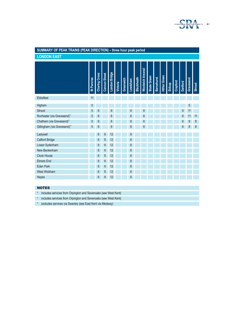

#### **SUMMARY OF PEAK TRAINS (PEAK DIRECTION) – three hour peak period LONDON EASTVoolwich Arsenal Woolwich Arsenal Ebbsfleet**<br>
Ebbsfleet<br>
Higham<br>
Higham (via Gravesend)^
<br>
Strood

Shochester (via Gravesend)^

5
5

6

6

Chatham (via Gravesend)^

5
5

6

6

Chatham (via Gravesend)^

5

5

6

6

Chatham (via Gravesend)^

5

5

6

6

Ch Slade Green lither Green **Hither Green Blackheath Slade Green** Greenwich **Barnehurst Barnehurst Lewisham Blackheath** Gravesend **Gravesend Greenwich Crayford Victoria Dartford Sidcup Strood** Ebbsfleet 11 Higham 5 5 Strood 5 6 6 6 6 6 11 Rochester (via Gravesend)<sup>^</sup> 56 6 6 6 6 6 6 6 6 6 11 11 Chatham (via Gravesend)^ 56 6 6 6 688 Gillingham (via Gravesend)^ 56 6 6 6 688 Ladywell 6 6 12 6 Catford Bridge 6 6 12 6 Lower Sydenham 6 6 6 12 6 6 12 New Beckenham 6 6 6 12 6 6 12 Clock House 6 6 6 12 6 6 6 12 Elmers End 6 6 12 6 6 12 6 Eden Park 6 6 6 12 6 6 12 6 West Wickham 6 6 6 12 6 6 12 Hayes 6 6 12 6

#### **NOTES**

\* includes services from Orpington and Sevenoaks (see West Kent)

**†** includes services from Orpington and Sevenoaks (see West Kent)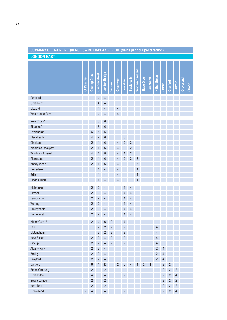# **SUMMARY OF TRAIN FREQUENCIES – INTER-PEAK PERIOD (trains per hour per direction)**

**LONDON EAST**

|                           | St Pancras              | <b>Charing Cross</b>    | <b>Cannon Street</b>     | London Bridge            | Victoria       | Greenwich | Lewisham       | Blackheath     | <b>Woolwich Arsenal</b> | Slade Green | <b>Barnehurst</b> | <b>Hither Green</b>      | Sidcup         | Crayford       | Dartford       | Gravesend | Strood |
|---------------------------|-------------------------|-------------------------|--------------------------|--------------------------|----------------|-----------|----------------|----------------|-------------------------|-------------|-------------------|--------------------------|----------------|----------------|----------------|-----------|--------|
| Deptford                  |                         |                         | $\overline{4}$           | 4                        |                |           |                |                |                         |             |                   |                          |                |                |                |           |        |
| Greenwich                 |                         |                         | 4                        | 4                        |                |           |                |                |                         |             |                   |                          |                |                |                |           |        |
| Maze Hill                 |                         |                         | 4                        | 4                        |                |           |                |                |                         |             |                   |                          |                |                |                |           |        |
| <b>Westcombe Park</b>     |                         |                         | 4                        | 4                        |                | 4         |                |                |                         |             |                   |                          |                |                |                |           |        |
|                           |                         |                         |                          |                          |                |           |                |                |                         |             |                   |                          |                |                |                |           |        |
| New Cross*                |                         |                         | 6                        | 6                        |                |           |                |                |                         |             |                   |                          |                |                |                |           |        |
| St Johns*                 |                         |                         | 6                        | 6                        |                |           |                |                |                         |             |                   |                          |                |                |                |           |        |
| Lewisham*                 |                         | 6                       | $\boldsymbol{6}$         | 12                       | 2              |           |                |                |                         |             |                   |                          |                |                |                |           |        |
| Blackheath                |                         | 4                       | $\overline{2}$           | 6                        |                |           | 6              |                |                         |             |                   |                          |                |                |                |           |        |
| Charlton                  |                         | $\overline{\mathbf{c}}$ | 4                        | 6                        |                | 4         | $\overline{2}$ | 2              |                         |             |                   |                          |                |                |                |           |        |
| Woolwich Dockyard         |                         | $\overline{2}$          | 4                        | 6                        |                | 4         | $\overline{2}$ | $\overline{c}$ |                         |             |                   |                          |                |                |                |           |        |
| <b>Woolwich Arsenal</b>   |                         | 4                       | 4                        | 8                        |                | 4         | 4              | $\overline{2}$ |                         |             |                   |                          |                |                |                |           |        |
| Plumstead                 |                         | $\overline{c}$          | 4                        | 6                        |                | 4         | $\overline{2}$ | $\overline{2}$ | 6                       |             |                   |                          |                |                |                |           |        |
| Abbey Wood                |                         | $\overline{c}$          | $\overline{\mathcal{L}}$ | 6                        |                | 4         | $\overline{2}$ |                | 6                       |             |                   |                          |                |                |                |           |        |
| <b>Belvedere</b>          |                         |                         | 4                        | 4                        |                | 4         |                |                | 4                       |             |                   |                          |                |                |                |           |        |
| Erith                     |                         |                         | 4                        | 4                        |                | 4         |                |                | 4<br>4                  |             |                   |                          |                |                |                |           |        |
| Slade Green               |                         |                         | $\overline{4}$           | 4                        |                | 4         |                |                |                         |             |                   |                          |                |                |                |           |        |
| Kidbrooke                 |                         | 2                       | $\sqrt{2}$               | 4                        |                |           | 4              | 4              |                         |             |                   |                          |                |                |                |           |        |
| Eltham                    |                         | $\overline{c}$          | $\sqrt{2}$               | 4                        |                |           | 4              | 4              |                         |             |                   |                          |                |                |                |           |        |
| Falconwood                |                         | $\overline{2}$          | $\overline{2}$           | 4                        |                |           | 4              | 4              |                         |             |                   |                          |                |                |                |           |        |
| Welling                   |                         | $\overline{2}$          | $\overline{c}$           | 4                        |                |           | 4              | 4              |                         |             |                   |                          |                |                |                |           |        |
| Bexleyheath               |                         | $\overline{\mathbf{c}}$ | $\sqrt{2}$               | 4                        |                |           | 4              | 4              |                         |             |                   |                          |                |                |                |           |        |
| <b>Barnehurst</b>         |                         | $\sqrt{2}$              | $\overline{c}$           | 4                        |                |           | 4              | 4              |                         |             |                   |                          |                |                |                |           |        |
| Hither Green <sup>t</sup> |                         | $\overline{2}$          | 4                        | 6                        | 2              |           | 4              |                |                         |             |                   |                          |                |                |                |           |        |
| Lee                       |                         |                         | 2                        | 2                        | $\overline{2}$ |           | $\overline{c}$ |                |                         |             |                   | 4                        |                |                |                |           |        |
| Mottingham                |                         |                         | $\overline{c}$           | $\overline{c}$           | $\overline{c}$ |           | $\sqrt{2}$     |                |                         |             |                   | $\overline{\mathcal{L}}$ |                |                |                |           |        |
| New Eltham                |                         | $\overline{2}$          | $\overline{2}$           | $\overline{4}$           | $\overline{2}$ |           | $\overline{2}$ |                |                         |             |                   | $\overline{4}$           |                |                |                |           |        |
| Sidcup                    |                         | $\overline{2}$          | $\overline{2}$           | 4                        | 2              |           | $\overline{c}$ |                |                         |             |                   | $\overline{4}$           |                |                |                |           |        |
| <b>Albany Park</b>        |                         | $\overline{2}$          | $\overline{2}$           | 4                        |                |           |                |                |                         |             |                   | $\overline{2}$           | 4              |                |                |           |        |
| Bexley                    |                         | $\overline{2}$          | $\overline{2}$           | 4                        |                |           |                |                |                         |             |                   | $\sqrt{2}$               | $\overline{4}$ |                |                |           |        |
| Crayford                  |                         | $\overline{2}$          | $\overline{2}$           | 4                        |                |           |                |                |                         |             |                   | $\sqrt{2}$               | $\overline{4}$ |                |                |           |        |
| Dartford                  |                         | $\boldsymbol{6}$        | $\overline{4}$           | $10$                     |                | 2         | 6              | 4              | 4                       | 2           | 4                 |                          | $\overline{2}$ | $\overline{c}$ |                |           |        |
| <b>Stone Crossing</b>     |                         | $\overline{2}$          |                          | 2                        |                |           |                |                |                         |             |                   |                          | $\overline{2}$ | $\overline{2}$ | 2              |           |        |
| Greenhithe                |                         | 4                       |                          | 4                        |                |           | $\overline{2}$ |                | $\overline{2}$          |             |                   |                          | $\overline{2}$ | $\overline{c}$ | 4              |           |        |
| Swanscombe                |                         | $\overline{2}$          |                          | $\overline{2}$           |                |           |                |                |                         |             |                   |                          | $\overline{2}$ | $\overline{2}$ | $\overline{c}$ |           |        |
| Northfleet                |                         | $\overline{2}$          |                          | $\overline{2}$           |                |           |                |                |                         |             |                   |                          | $\sqrt{2}$     | $\overline{c}$ | $\overline{c}$ |           |        |
| Gravesend                 | $\overline{\mathbf{c}}$ | $\overline{4}$          |                          | $\overline{\mathcal{L}}$ |                |           | $\overline{2}$ |                | $\sqrt{2}$              |             |                   |                          | $\overline{2}$ | $\overline{c}$ | $\sqrt{4}$     |           |        |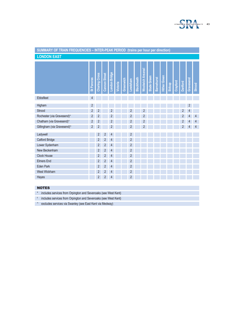

| SUMMARY OF TRAIN FREQUENCIES - INTER-PEAK PERIOD (trains per hour per direction)                                                                       |                   |                      |                |                |          |           |                |                   |                         |             |                   |                     |        |          |                |                |        |
|--------------------------------------------------------------------------------------------------------------------------------------------------------|-------------------|----------------------|----------------|----------------|----------|-----------|----------------|-------------------|-------------------------|-------------|-------------------|---------------------|--------|----------|----------------|----------------|--------|
| <b>LONDON EAST</b>                                                                                                                                     |                   |                      |                |                |          |           |                |                   |                         |             |                   |                     |        |          |                |                |        |
|                                                                                                                                                        | <b>St Pancras</b> | <b>Charing Cross</b> | Cannon Street  | London Bridge  | Victoria | Greenwich | Lewisham       | <b>Blackheath</b> | <b>Noolwich Arsenal</b> | Slade Green | <b>Barnehurst</b> | <b>Hither Green</b> | Sidcup | Crayford | Dartford       | Gravesend      | Strood |
| Ebbsfleet                                                                                                                                              | 4                 |                      |                |                |          |           |                |                   |                         |             |                   |                     |        |          |                |                |        |
| Higham                                                                                                                                                 | 2                 |                      |                |                |          |           |                |                   |                         |             |                   |                     |        |          |                | $\overline{c}$ |        |
| Strood<br>$\overline{2}$<br>4<br>2<br>2<br>2<br>2<br>2<br>Rochester (via Gravesend)^<br>$\overline{2}$<br>2<br>2<br>2<br>2<br>$\overline{2}$<br>4<br>4 |                   |                      |                |                |          |           |                |                   |                         |             |                   |                     |        |          |                |                |        |
|                                                                                                                                                        |                   |                      |                |                |          |           |                |                   |                         |             |                   |                     |        |          |                |                |        |
| Chatham (via Gravesend)^                                                                                                                               | $\overline{2}$    | $\overline{2}$       |                | $\overline{2}$ |          |           | 2              |                   | $\overline{2}$          |             |                   |                     |        |          | $\overline{2}$ | $\overline{4}$ | 4      |
| Gillingham (via Gravesend)^                                                                                                                            | $\overline{2}$    | 2                    |                | 2              |          |           | 2              |                   | 2                       |             |                   |                     |        |          | $\overline{2}$ | 4              | 4      |
| Ladywell                                                                                                                                               |                   | 2                    | 2              | 4              |          |           | $\overline{2}$ |                   |                         |             |                   |                     |        |          |                |                |        |
| <b>Catford Bridge</b>                                                                                                                                  |                   | $\overline{2}$       | $\overline{c}$ | 4              |          |           | $\overline{2}$ |                   |                         |             |                   |                     |        |          |                |                |        |
| Lower Sydenham                                                                                                                                         |                   | $\overline{2}$       | $\overline{2}$ | 4              |          |           | $\overline{2}$ |                   |                         |             |                   |                     |        |          |                |                |        |
| New Beckenham                                                                                                                                          |                   | 2                    | $\overline{2}$ | 4              |          |           | $\overline{2}$ |                   |                         |             |                   |                     |        |          |                |                |        |
| <b>Clock House</b>                                                                                                                                     |                   | $\overline{2}$       | $\overline{2}$ | 4              |          |           | $\overline{2}$ |                   |                         |             |                   |                     |        |          |                |                |        |
| <b>Elmers</b> End                                                                                                                                      |                   | $\overline{2}$       | $\sqrt{2}$     | 4              |          |           | $\overline{2}$ |                   |                         |             |                   |                     |        |          |                |                |        |
| <b>Eden Park</b>                                                                                                                                       |                   | 2                    | $\overline{c}$ | 4              |          |           | 2              |                   |                         |             |                   |                     |        |          |                |                |        |
| West Wickham                                                                                                                                           |                   | $\overline{2}$       | 2              | 4              |          |           | 2              |                   |                         |             |                   |                     |        |          |                |                |        |
| Hayes                                                                                                                                                  |                   | 2                    | $\overline{c}$ | 4              |          |           | 2              |                   |                         |             |                   |                     |        |          |                |                |        |
|                                                                                                                                                        |                   |                      |                |                |          |           |                |                   |                         |             |                   |                     |        |          |                |                |        |
| <b>NOTES</b>                                                                                                                                           |                   |                      |                |                |          |           |                |                   |                         |             |                   |                     |        |          |                |                |        |
| includes services from Orpington and Sevenoaks (see West Kent)<br>$\star$                                                                              |                   |                      |                |                |          |           |                |                   |                         |             |                   |                     |        |          |                |                |        |
| includes services from Orpington and Sevenoaks (see West Kent)<br>t                                                                                    |                   |                      |                |                |          |           |                |                   |                         |             |                   |                     |        |          |                |                |        |
| excludes services via Swanley (see East Kent via Medway)<br>٨                                                                                          |                   |                      |                |                |          |           |                |                   |                         |             |                   |                     |        |          |                |                |        |

### NOTES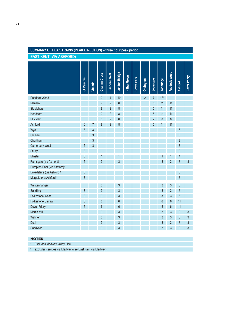# **SUMMARY OF PEAK TRAINS (PEAK DIRECTION) – three hour peak period**

**EAST KENT (VIA ASHFORD)**

|                                         | St Pancras      |                 | Charing Cross  | <b>Cannon Street</b> | London Bridge  | <b>Hither Green</b> | Grove Park |                | <b>Sevenoaks</b> | Tonbridge | Paddock Wood |                | Dover Priory |
|-----------------------------------------|-----------------|-----------------|----------------|----------------------|----------------|---------------------|------------|----------------|------------------|-----------|--------------|----------------|--------------|
|                                         |                 | <b>Victoria</b> |                |                      |                |                     |            | Orpington      |                  |           |              | <b>Ashford</b> |              |
|                                         |                 |                 |                |                      |                |                     |            |                |                  |           |              |                |              |
| Paddock Wood                            |                 |                 | 9              | $\overline{4}$       | 10             |                     |            | $\overline{2}$ | 7                | $13*$     |              |                |              |
| Marden                                  |                 |                 | $\overline{9}$ | $\overline{2}$       | 8              |                     |            |                | 5                | 11        | 11           |                |              |
| Staplehurst                             |                 |                 | 9              | $\overline{2}$       | 8              |                     |            |                | 5                | 11        | 11           |                |              |
| Headcorn                                |                 |                 | $\overline{9}$ | $\overline{2}$       | 8              |                     |            |                | 5                | 11        | 11           |                |              |
| Pluckley                                |                 |                 | $6\phantom{a}$ | 2                    | 8              |                     |            |                | $\overline{2}$   | 8         | 8            |                |              |
| Ashford                                 | $6\phantom{1}6$ | 7               | 9              | 2                    | 8              |                     |            |                | 5                | 11        | 11           |                |              |
| Wye                                     | 3               | $\mathfrak{S}$  |                |                      |                |                     |            |                |                  |           |              | 6              |              |
| Chilham                                 |                 | $\mathfrak{S}$  |                |                      |                |                     |            |                |                  |           |              | 3              |              |
| Chartham                                |                 | 3               |                |                      |                |                     |            |                |                  |           |              | 3              |              |
| <b>Canterbury West</b>                  | 5               | $\mathfrak{S}$  |                |                      |                |                     |            |                |                  |           |              | 8              |              |
| Sturry                                  | 3               |                 |                |                      |                |                     |            |                |                  |           |              | 3              |              |
| Minster                                 | 3               |                 | 1              |                      | 1              |                     |            |                |                  |           |              | 4              |              |
| Ramsgate (via Ashford)                  | 5               |                 | 3              |                      | 3              |                     |            |                |                  | 3         | 3            | 8              | $\mathbf{3}$ |
| Dumpton Park (via Ashford) <sup>t</sup> |                 |                 |                |                      |                |                     |            |                |                  |           |              |                |              |
| Broadstairs (via Ashford) <sup>t</sup>  | $\mathfrak{S}$  |                 |                |                      |                |                     |            |                |                  |           |              | 3              |              |
| Margate (via Ashford) <sup>t</sup>      | 3               |                 |                |                      |                |                     |            |                |                  |           |              | 3              |              |
| Westenhanger                            |                 |                 | 3              |                      | 3              |                     |            |                |                  | 3         | 3            | 3              |              |
| Sandling                                | $\mathbf{3}$    |                 | 3              |                      | 3              |                     |            |                |                  | 3         | 3            | 6              |              |
| <b>Folkestone West</b>                  | 3               |                 | 3              |                      | 3              |                     |            |                |                  | 3         | 3            | 6              |              |
| <b>Folkestone Central</b>               | 5               |                 | 6              |                      | 6              |                     |            |                |                  | 6         | 6            | 11             |              |
| Dover Priory                            | 5               |                 | $6\,$          |                      | $6\phantom{a}$ |                     |            |                |                  | 6         | 6            | 11             |              |
| <b>Martin Mill</b>                      |                 |                 | 3              |                      | 3              |                     |            |                |                  | 3         | 3            | 3              | $\mathbf{3}$ |
| Walmer                                  |                 |                 | 3              |                      | 3              |                     |            |                |                  | 3         | 3            | 3              | 3            |
| Deal                                    |                 |                 | 3              |                      | 3              |                     |            |                |                  | 3         | 3            | 3              | 3            |
| Sandwich                                |                 |                 | 3              |                      | 3              |                     |            |                |                  | 3         | 3            | 3              | 3            |

#### NOTES

\* Excludes Medway Valley Line

**†** excludes services via Medway (see East Kent via Medway)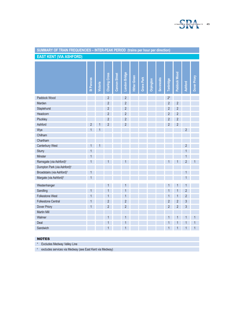

| SUMMARY OF TRAIN FREQUENCIES - INTER-PEAK PERIOD (trains per hour per direction) |                |          |                      |                      |                |                     |            |           |           |                |              |                |              |
|----------------------------------------------------------------------------------|----------------|----------|----------------------|----------------------|----------------|---------------------|------------|-----------|-----------|----------------|--------------|----------------|--------------|
| <b>EAST KENT (VIA ASHFORD)</b>                                                   |                |          |                      |                      |                |                     |            |           |           |                |              |                |              |
|                                                                                  |                |          |                      |                      |                |                     |            |           |           |                |              |                |              |
|                                                                                  |                |          |                      |                      |                |                     |            |           |           |                |              |                |              |
|                                                                                  |                |          | <b>Charing Cross</b> | <b>Cannon Street</b> | London Bridge  | <b>Hither Green</b> |            |           |           |                | Paddock Wood |                | Dover Priory |
|                                                                                  | St Pancras     | Victoria |                      |                      |                |                     | Grove Park | Orpington | Sevenoaks | Tonbridge      |              | <b>Ashford</b> |              |
|                                                                                  |                |          |                      |                      |                |                     |            |           |           |                |              |                |              |
| Paddock Wood                                                                     |                |          | 2                    |                      | 2              |                     |            |           |           | $2^*$          |              |                |              |
| Marden                                                                           |                |          | $\overline{c}$       |                      | $\overline{c}$ |                     |            |           |           | $\overline{2}$ | 2            |                |              |
| Staplehurst                                                                      |                |          | 2                    |                      | $\overline{c}$ |                     |            |           |           | $\overline{2}$ | 2            |                |              |
| Headcorn                                                                         |                |          | 2                    |                      | 2              |                     |            |           |           | 2              | 2            |                |              |
| Pluckley                                                                         |                |          | 2                    |                      | $\overline{c}$ |                     |            |           |           | 2              | 2            |                |              |
| Ashford                                                                          | $\overline{2}$ |          | $\overline{2}$       |                      | $\overline{c}$ |                     |            |           |           | $\overline{2}$ | 2            |                |              |
| Wye                                                                              |                |          |                      |                      |                |                     |            |           |           |                |              | 2              |              |
| Chilham                                                                          |                |          |                      |                      |                |                     |            |           |           |                |              |                |              |
| Chartham                                                                         |                |          |                      |                      |                |                     |            |           |           |                |              |                |              |
| Canterbury West                                                                  |                |          |                      |                      |                |                     |            |           |           |                |              | 2              |              |
| Sturry                                                                           | 1              |          |                      |                      |                |                     |            |           |           |                |              |                |              |
| Minster                                                                          | 1              |          |                      |                      |                |                     |            |           |           |                |              |                |              |
| Ramsgate (via Ashford) <sup>t</sup>                                              |                |          |                      |                      |                |                     |            |           |           |                |              | 2              |              |
| Dumpton Park (via Ashford) <sup>t</sup>                                          |                |          |                      |                      |                |                     |            |           |           |                |              |                |              |
| Broadstairs (via Ashford) <sup>t</sup>                                           | 1              |          |                      |                      |                |                     |            |           |           |                |              |                |              |
| Margate (via Ashford) <sup>t</sup>                                               |                |          |                      |                      |                |                     |            |           |           |                |              |                |              |
| Westenhanger                                                                     |                |          |                      |                      |                |                     |            |           |           |                |              |                |              |
| Sandling                                                                         | 1              |          |                      |                      |                |                     |            |           |           |                |              | 2              |              |
| <b>Folkestone West</b>                                                           |                |          |                      |                      |                |                     |            |           |           |                |              | 2              |              |
| <b>Folkestone Central</b>                                                        | 1              |          | 2                    |                      | $\overline{2}$ |                     |            |           |           | 2              | 2            | 3              |              |
| Dover Priory                                                                     | 1              |          | 2                    |                      | $\overline{c}$ |                     |            |           |           | 2              | 2            | 3              |              |
| <b>Martin Mill</b>                                                               |                |          |                      |                      |                |                     |            |           |           |                |              |                |              |
| Walmer                                                                           |                |          | 1                    |                      | 1              |                     |            |           |           |                |              | 1              | $\mathbf{1}$ |
| Deal                                                                             |                |          | 1                    |                      | 1              |                     |            |           |           |                |              | 1              | 1            |
| Sandwich                                                                         |                |          |                      |                      |                |                     |            |           |           |                |              |                |              |
|                                                                                  |                |          |                      |                      |                |                     |            |           |           |                |              |                |              |
| <b>NOTES</b>                                                                     |                |          |                      |                      |                |                     |            |           |           |                |              |                |              |
| Excludes Medway Valley Line<br>$\star$                                           |                |          |                      |                      |                |                     |            |           |           |                |              |                |              |
| excludes services via Medway (see East Kent via Medway)<br>t.                    |                |          |                      |                      |                |                     |            |           |           |                |              |                |              |

#### **SUMMARY OF TRAIN FREQUENCIES – INTER-PEAK PERIOD (trains per hour per direction)**

#### NOTES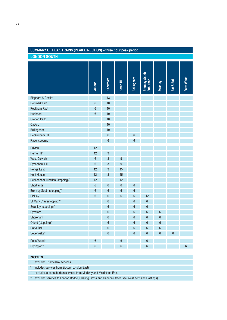# **SUMMARY OF PEAK TRAINS (PEAK DIRECTION) – three hour peak period**

**LONDON SOUTH**

|                                | <b>Victoria</b> | <b>Blackfriars</b> | Herne Hill       | Bellingham      | Bromley South<br>Suburban | Swanley        | Bat & Ball | Petts Wood     |
|--------------------------------|-----------------|--------------------|------------------|-----------------|---------------------------|----------------|------------|----------------|
|                                |                 |                    |                  |                 |                           |                |            |                |
| Elephant & Castle*             |                 | 13                 |                  |                 |                           |                |            |                |
| Denmark Hill <sup>t</sup>      | $6\,$           | 10                 |                  |                 |                           |                |            |                |
| Peckham Rye <sup>t</sup>       | $6\phantom{a}$  | 10                 |                  |                 |                           |                |            |                |
| Nunhead <sup>t</sup>           | $6\phantom{a}$  | 10                 |                  |                 |                           |                |            |                |
| <b>Crofton Park</b>            |                 | 10                 |                  |                 |                           |                |            |                |
| Catford                        |                 | 10                 |                  |                 |                           |                |            |                |
| Bellingham                     |                 | 10                 |                  |                 |                           |                |            |                |
| <b>Beckenham Hill</b>          |                 | $6\phantom{a}$     |                  | 6               |                           |                |            |                |
| Ravensbourne                   |                 | $6\phantom{a}$     |                  | $6\phantom{1}$  |                           |                |            |                |
| <b>Brixton</b>                 | 12              |                    |                  |                 |                           |                |            |                |
| Herne Hill*                    | 12              | 3                  |                  |                 |                           |                |            |                |
| <b>West Dulwich</b>            | $6\,$           | 3                  | $9\,$            |                 |                           |                |            |                |
| Sydenham Hill                  | $6\,$           | $\mathfrak{S}$     | $9\,$            |                 |                           |                |            |                |
| Penge East                     | 12              | 3                  | 15               |                 |                           |                |            |                |
| <b>Kent House</b>              | 12              | 3                  | 15               |                 |                           |                |            |                |
| Beckenham Junction (stopping)^ | 12              |                    | 12               |                 |                           |                |            |                |
| Shortlands                     | $6\phantom{a}$  | $6\phantom{a}$     | $\boldsymbol{6}$ | $6\phantom{1}6$ |                           |                |            |                |
| Bromley South (stopping)^      | $6\phantom{a}$  | $6\phantom{a}$     | $6\,$            | $6\phantom{1}6$ |                           |                |            |                |
| <b>Bickley</b>                 | $6\phantom{a}$  | $6\phantom{a}$     | $6\phantom{a}$   | $6\phantom{a}$  | 12                        |                |            |                |
| St Mary Cray (stopping)^       |                 | $6\phantom{a}$     |                  | $6\phantom{a}$  | 6                         |                |            |                |
| Swanley (stopping)^            |                 | $6\phantom{a}$     |                  | $6\phantom{1}$  | 6                         |                |            |                |
| Eynsford                       |                 | $6\phantom{a}$     |                  | $6\phantom{a}$  | 6                         | 6              |            |                |
| Shoreham                       |                 | $6\phantom{a}$     |                  | $6\phantom{1}$  | 6                         | $6\,$          |            |                |
| Otford (stopping)^             |                 | $6\phantom{a}$     |                  | $6\phantom{a}$  | 6                         | $6\phantom{a}$ |            |                |
| Bat & Ball                     |                 | $6\phantom{a}$     |                  | $6\phantom{a}$  | $\overline{6}$            | $6\phantom{a}$ |            |                |
| Sevenoaks~                     |                 | $6\phantom{a}$     |                  | $6\phantom{a}$  | 6                         | $6\phantom{a}$ | 6          |                |
|                                |                 |                    |                  |                 |                           |                |            |                |
| Petts Wood~                    | 6               |                    | 6                |                 | 6                         |                |            |                |
| Orpington~                     | $6\phantom{a}$  |                    | $6\phantom{a}$   |                 | 6                         |                |            | $6\phantom{1}$ |

#### NOTES

\* excludes Thameslink services

**†** includes services from Sidcup (London East)

^ excludes outer suburban services from Medway and Maidstone East

<sup>~</sup> excludes services to London Bridge, Charing Cross and Cannon Street (see West Kent and Hastings)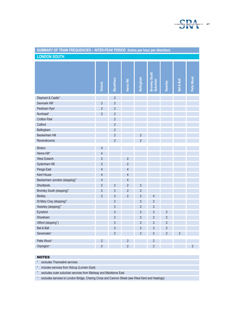

| SUMMARY OF TRAIN FREQUENCIES - INTER-PEAK PERIOD (trains per hour per direction) |                |                    |                |                   |                           |                |                |                |
|----------------------------------------------------------------------------------|----------------|--------------------|----------------|-------------------|---------------------------|----------------|----------------|----------------|
| <b>LONDON SOUTH</b>                                                              |                |                    |                |                   |                           |                |                |                |
|                                                                                  | Victoria       | <b>Blackfriars</b> | Herne Hill     | <b>Bellingham</b> | Bromley South<br>Suburban | Swanley        | Bat & Ball     | Petts Wood     |
| Elephant & Castle*                                                               |                | $\sqrt{2}$         |                |                   |                           |                |                |                |
| Denmark Hill <sup>t</sup>                                                        | $\overline{2}$ | $\overline{c}$     |                |                   |                           |                |                |                |
| Peckham Rye <sup>t</sup>                                                         | $\overline{c}$ | $\overline{c}$     |                |                   |                           |                |                |                |
| Nunhead <sup>t</sup>                                                             | $\overline{2}$ | $\overline{c}$     |                |                   |                           |                |                |                |
| <b>Crofton Park</b>                                                              |                | $\overline{2}$     |                |                   |                           |                |                |                |
| Catford                                                                          |                | $\overline{c}$     |                |                   |                           |                |                |                |
| Bellingham                                                                       |                | $\overline{2}$     |                |                   |                           |                |                |                |
| Beckenham Hill                                                                   |                | $\overline{2}$     |                | $\overline{c}$    |                           |                |                |                |
| Ravensbourne                                                                     |                | $\overline{c}$     |                | $\overline{2}$    |                           |                |                |                |
| <b>Brixton</b>                                                                   | $\overline{4}$ |                    |                |                   |                           |                |                |                |
| Herne Hill*                                                                      | $\overline{4}$ |                    |                |                   |                           |                |                |                |
| <b>West Dulwich</b>                                                              | $\sqrt{2}$     |                    | $\sqrt{2}$     |                   |                           |                |                |                |
| Sydenham Hill                                                                    | $\sqrt{2}$     |                    | $\overline{2}$ |                   |                           |                |                |                |
| Penge East                                                                       | $\overline{4}$ |                    | $\overline{4}$ |                   |                           |                |                |                |
| Kent House                                                                       | 4              |                    | $\overline{4}$ |                   |                           |                |                |                |
| Beckenham Junction (stopping)^                                                   | $\overline{4}$ |                    | $\overline{4}$ |                   |                           |                |                |                |
| Shortlands                                                                       | $\overline{2}$ | $\overline{2}$     | $\overline{2}$ | $\overline{2}$    |                           |                |                |                |
| Bromley South (stopping)^                                                        | $\overline{c}$ | $\overline{c}$     | $\overline{2}$ | $\overline{c}$    |                           |                |                |                |
| <b>Bickley</b>                                                                   | $\overline{2}$ | $\overline{c}$     | $\overline{2}$ | $\overline{2}$    | $\overline{4}$            |                |                |                |
| St Mary Cray (stopping)^                                                         |                | $\overline{2}$     |                | $\overline{2}$    | $\overline{2}$            |                |                |                |
| Swanley (stopping)^                                                              |                | $\overline{c}$     |                | $\overline{2}$    | 2                         |                |                |                |
| Eynsford                                                                         |                | $\overline{c}$     |                | $\overline{2}$    | $\overline{2}$            | $\overline{2}$ |                |                |
| Shoreham                                                                         |                | $\overline{2}$     |                | $\overline{c}$    | $\overline{2}$            | $\overline{2}$ |                |                |
| Otford (stopping^)                                                               |                | $\sqrt{2}$         |                | $\overline{2}$    | $\sqrt{2}$                | $\overline{c}$ |                |                |
| Bat & Ball                                                                       |                | $\overline{2}$     |                | $\overline{2}$    | $\overline{2}$            | $\overline{2}$ |                |                |
| Sevenoaks~                                                                       |                | $\overline{2}$     |                | $\overline{2}$    | $\overline{2}$            | $\overline{2}$ | $\overline{2}$ |                |
| Petts Wood~                                                                      | $\sqrt{2}$     |                    | $\sqrt{2}$     |                   | $\sqrt{2}$                |                |                |                |
| Orpington~                                                                       | $\overline{2}$ |                    | $\overline{2}$ |                   | $\overline{2}$            |                |                | $\overline{2}$ |

#### NOTES

\* excludes Thameslink services

**†** includes services from Sidcup (London East)

^ excludes outer suburban services from Medway and Maidstone East

<sup>~</sup> excludes services to London Bridge, Charing Cross and Cannon Street (see West Kent and Hastings)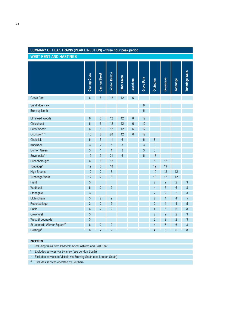# **SUMMARY OF PEAK TRAINS (PEAK DIRECTION) – three hour peak period**

**WEST KENT AND HASTINGS**

|                             | Charing Cross  | <b>Cannon Street</b> | London Bridge  | <b>Hither Green</b> | Lewisham        | Grove Park      | Orpington                | <b>Sevenoaks</b> | Tonbridge                | <b>Tunbridge Wells</b> |
|-----------------------------|----------------|----------------------|----------------|---------------------|-----------------|-----------------|--------------------------|------------------|--------------------------|------------------------|
| <b>Grove Park</b>           | $6\phantom{a}$ | 6                    | 12             | 12                  | 6               |                 |                          |                  |                          |                        |
| Sundridge Park              |                |                      |                |                     |                 | $6\phantom{1}6$ |                          |                  |                          |                        |
| <b>Bromley North</b>        |                |                      |                |                     |                 | $6\phantom{1}6$ |                          |                  |                          |                        |
|                             |                |                      |                |                     |                 |                 |                          |                  |                          |                        |
| <b>Elmstead Woods</b>       | 6              | 6                    | 12             | 12                  | 6               | 12              |                          |                  |                          |                        |
| Chislehurst                 | 6              | 6                    | 12             | 12                  | $6\phantom{.}6$ | 12              |                          |                  |                          |                        |
| Petts Wood~                 | $6\phantom{a}$ | 6                    | 12             | 12                  | $6\phantom{a}$  | 12              |                          |                  |                          |                        |
| Orpington* ~                | 16             | 8                    | 20             | 12                  | $6\phantom{.}6$ | 12              |                          |                  |                          |                        |
| Chelsfield                  | $6\phantom{a}$ | 5                    | 11             | $6\phantom{a}$      |                 | $6\phantom{1}6$ | 8                        |                  |                          |                        |
| Knockholt                   | 3              | $\overline{2}$       | 5              | $\overline{3}$      |                 | $\overline{3}$  | $\overline{3}$           |                  |                          |                        |
| <b>Dunton Green</b>         | 3              | 1                    | $\overline{4}$ | 3                   |                 | $\overline{3}$  | 3                        |                  |                          |                        |
| Sevenoaks* <sup>t</sup>     | 19             | 9                    | 21             | $6\phantom{a}$      |                 | $6\phantom{1}6$ | 18                       |                  |                          |                        |
| Hildenborough*              | 6              | 6                    | 12             |                     |                 |                 | 8                        | 12               |                          |                        |
| Tonbridge*                  | 19             | 6                    | 18             |                     |                 |                 | 12                       | 19               |                          |                        |
| <b>High Brooms</b>          | 12             | $\overline{2}$       | 8              |                     |                 |                 | 10                       | 12               | 12                       |                        |
| <b>Tunbridge Wells</b>      | 12             | $\overline{2}$       | 8              |                     |                 |                 | 10                       | 12               | 12                       |                        |
| Frant                       | $\overline{3}$ |                      |                |                     |                 |                 | $\overline{2}$           | $\overline{2}$   | $\overline{2}$           | $\mathfrak{S}$         |
| Wadhurst                    | $6\phantom{a}$ | $\overline{c}$       | $\overline{2}$ |                     |                 |                 | $\overline{\mathcal{L}}$ | $6\phantom{.}6$  | $6\phantom{a}$           | $\,8\,$                |
| Stonegate                   | 3              |                      |                |                     |                 |                 | $\overline{2}$           | $\overline{2}$   | $\overline{2}$           | $\mathfrak{S}$         |
| Etchingham                  | 3              | $\overline{2}$       | $\overline{2}$ |                     |                 |                 | $\overline{2}$           | 4                | 4                        | $\sqrt{5}$             |
| Robertsbridge               | 3              | $\overline{2}$       | $\overline{c}$ |                     |                 |                 | $\overline{2}$           | $\overline{4}$   | $\overline{\mathcal{A}}$ | $\overline{5}$         |
| <b>Battle</b>               | 6              | $\overline{2}$       | $\overline{2}$ |                     |                 |                 | $\overline{4}$           | 6                | $6\phantom{a}$           | $\boldsymbol{8}$       |
| Crowhurst                   | 3              |                      |                |                     |                 |                 | $\overline{2}$           | $\overline{c}$   | $\overline{2}$           | $\mathfrak{Z}$         |
| <b>West St Leonards</b>     | 3              |                      |                |                     |                 |                 | $\overline{2}$           | $\overline{c}$   | $\overline{c}$           | $\sqrt{3}$             |
| St Leonards Warrior Square® | $6\phantom{a}$ | $\overline{2}$       | $\overline{2}$ |                     |                 |                 | $\overline{4}$           | $6\phantom{a}$   | $6\phantom{a}$           | $\,8\,$                |
| Hastings <sup>®</sup>       | $6\phantom{a}$ | $\overline{2}$       | $\overline{2}$ |                     |                 |                 | $\overline{4}$           | 6                | 6                        | 8                      |

### NOTES

\* Including trains from Paddock Wood, Ashford and East Kent

**†** Excludes services via Swanley (see London South)

<sup>~</sup> Excludes services to Victoria via Bromley South (see London South)

<sup>ø</sup> Excludes services operated by Southern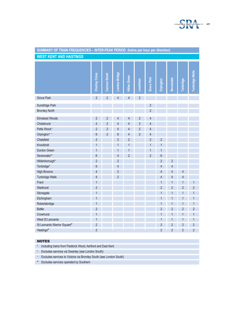

| SUMMARY OF TRAIN FREQUENCIES - INTER-PEAK PERIOD (trains per hour per direction) |                      |                      |                |                     |                |                                  |                |                  |                  |                 |
|----------------------------------------------------------------------------------|----------------------|----------------------|----------------|---------------------|----------------|----------------------------------|----------------|------------------|------------------|-----------------|
| <b>WEST KENT AND HASTINGS</b>                                                    |                      |                      |                |                     |                |                                  |                |                  |                  |                 |
|                                                                                  | <b>Charing Cross</b> | <b>Cannon Street</b> | London Bridge  | <b>Hither Green</b> | Lewisham       | <b>Grove Park</b>                | Orpington      | <b>Sevenoaks</b> | <b>Tonbridge</b> | Tunbridge Wells |
| <b>Grove Park</b>                                                                | $\overline{2}$       | $\overline{2}$       | $\overline{4}$ | 4                   | 2              |                                  |                |                  |                  |                 |
| Sundridge Park<br><b>Bromley North</b>                                           |                      |                      |                |                     |                | $\overline{c}$<br>$\overline{2}$ |                |                  |                  |                 |
| <b>Elmstead Woods</b>                                                            | 2                    | $\overline{2}$       | 4              | 4                   | $\overline{2}$ | $\overline{4}$                   |                |                  |                  |                 |
| Chislehurst                                                                      | $\overline{2}$       | $\overline{2}$       | 4              | $\overline{4}$      | $\overline{2}$ | $\overline{4}$                   |                |                  |                  |                 |
| Petts Wood~                                                                      | $\overline{2}$       | $\overline{2}$       | $\overline{4}$ | 4                   | $\overline{2}$ | $\overline{4}$                   |                |                  |                  |                 |
| Orpington* ~                                                                     | $6\phantom{a}$       | $\overline{2}$       | $6\,$          | 4                   | $\overline{2}$ | $\overline{4}$                   |                |                  |                  |                 |
| Chelsfield                                                                       | $\overline{2}$       |                      | $\overline{2}$ | $\overline{2}$      |                | $\overline{2}$                   | $\overline{2}$ |                  |                  |                 |
| Knockholt                                                                        | 1                    |                      | 1              | 1                   |                | 1                                | $\mathbf{1}$   |                  |                  |                 |
| <b>Dunton Green</b>                                                              | $\mathbf{1}$         |                      | 1              | $\mathbf{1}$        |                | 1                                | $\mathbf{1}$   |                  |                  |                 |
| Sevenoaks* <sup>†</sup>                                                          | 6                    |                      | $\overline{4}$ | $\overline{c}$      |                | $\overline{c}$                   | $6\phantom{a}$ |                  |                  |                 |
| Hildenborough*                                                                   | $\overline{2}$       |                      | $\overline{2}$ |                     |                |                                  | $\overline{2}$ | $\overline{2}$   |                  |                 |
| Tonbridge*                                                                       | 6                    |                      | $\overline{4}$ |                     |                |                                  | $\overline{4}$ | $\overline{4}$   |                  |                 |
| <b>High Brooms</b>                                                               | $\overline{4}$       |                      | $\overline{2}$ |                     |                |                                  | $\overline{4}$ | $\overline{4}$   | 4                |                 |
| <b>Tunbridge Wells</b>                                                           | 4                    |                      | $\overline{2}$ |                     |                |                                  | $\overline{4}$ | $\overline{4}$   | $\overline{4}$   |                 |
| Frant                                                                            | 1                    |                      |                |                     |                |                                  | 1              | 1                | 1                | $\mathbf{1}$    |
| Wadhurst                                                                         | $\overline{2}$       |                      |                |                     |                |                                  | $\overline{c}$ | $\overline{2}$   | $\overline{c}$   | $\overline{2}$  |
| Stonegate                                                                        | 1                    |                      |                |                     |                |                                  | $\mathbf{1}$   | $\mathbf{1}$     | 1                | $\mathbf{1}$    |
| Etchingham                                                                       | $\mathbf{1}$         |                      |                |                     |                |                                  | $\mathbf{1}$   | $\overline{1}$   | 1                | $\mathbf{1}$    |
| Robertsbridge                                                                    | 1                    |                      |                |                     |                |                                  | $\mathbf{1}$   | $\mathbf{1}$     | 1                | 1               |
| <b>Battle</b>                                                                    | $\overline{2}$       |                      |                |                     |                |                                  | $\overline{2}$ | $\overline{2}$   | $\overline{2}$   | $\overline{2}$  |
| Crowhurst                                                                        | $\mathbf{1}$         |                      |                |                     |                |                                  | $\mathbf{1}$   | $\mathbf{1}$     | 1                | $\mathbf{1}$    |
| <b>West St Leonards</b>                                                          | $\overline{1}$       |                      |                |                     |                |                                  | $\mathbf{1}$   | $\mathbf{1}$     | $\mathbf{1}$     | $\mathbf{1}$    |
| St Leonards Warrior Square®                                                      | $\overline{2}$       |                      |                |                     |                |                                  | $\overline{2}$ | $\overline{2}$   | $\overline{2}$   | $\overline{2}$  |
| Hastings <sup>®</sup>                                                            | $\overline{2}$       |                      |                |                     |                |                                  | $\overline{2}$ | $\overline{2}$   | $\overline{2}$   | $\overline{2}$  |

### NOTES

\* Including trains from Paddock Wood, Ashford and East Kent

**†** Excludes services via Swanley (see London South)

<sup>~</sup> Excludes services to Victoria via Bromley South (see London South)

<sup>ø</sup> Excludes services operated by Southern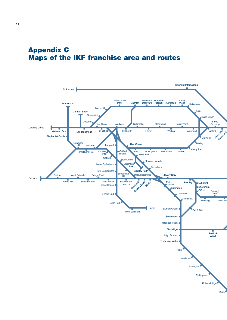# **Appendix C Maps of the IKF franchise area and routes**

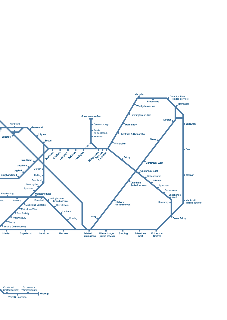

**Hastings** Crowhurst (limited service) St Leonards Warrior Square West St Leonards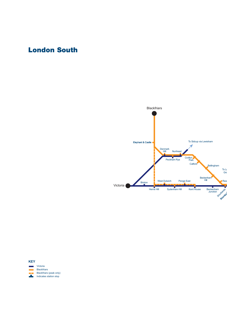# **London South**



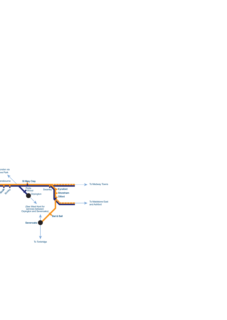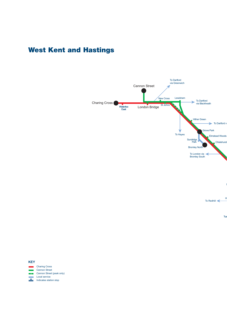# **West Kent and Hastings**



H To Redhill

Tun

#### **KEY**

Charing Cross Cannon Street Cannon Street (peak only) n li Local service **Contract Indicates station stop**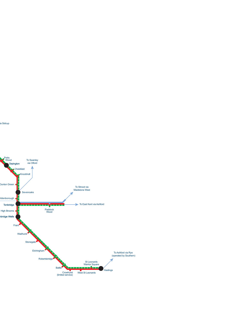

ia Sidcup

Petts Wood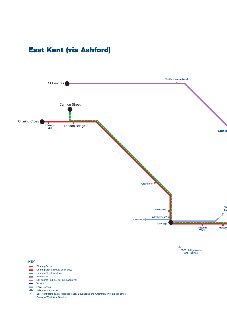# **East Kent (via Ashford)**



- St Pancras (subject to HMRI approval) n Li
- $\sim$ Victoria
- Local Service
- والمراد Indicates station stop
- East Kent trains call at Hildenborough, Sevenoaks and Orpington only at peak times. See also West Kent Services. \*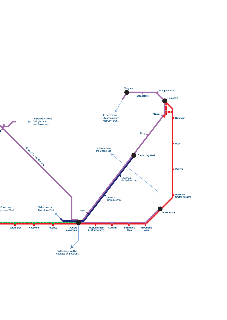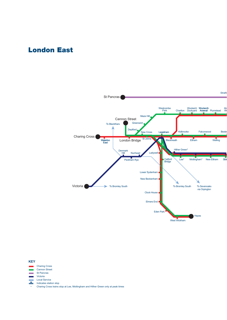# **London East**



#### **KEY**

- Charing Cross
- Cannon Street
- St Pancras
- Victoria
- Local Service F
- Indicates station stop

Charing Cross trains stop at Lee, Mottingham and Hither Green only at peak times \*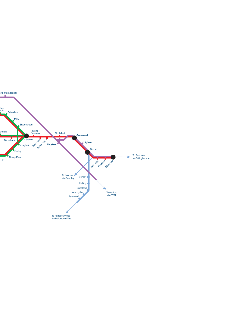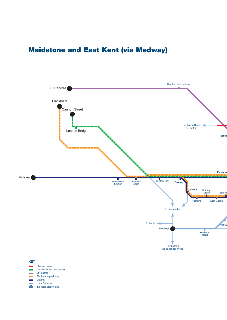# **Maidstone and East Kent (via Medway)**



- Cannon Street (peak only) m.
- St Pancras **College**
- Blackfriars (peak only)
- Victoria
- Local Services
- z Indicates station stop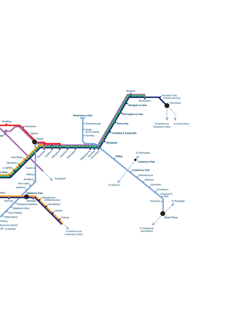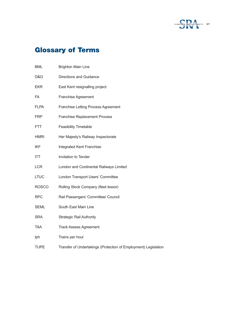

# **Glossary of Terms**

| <b>BML</b>   | <b>Brighton Main Line</b>                                       |
|--------------|-----------------------------------------------------------------|
| D&G          | <b>Directions and Guidance</b>                                  |
| <b>EKR</b>   | East Kent resignalling project                                  |
| FA           | <b>Franchise Agreement</b>                                      |
| <b>FLPA</b>  | Franchise Letting Process Agreement                             |
| <b>FRP</b>   | <b>Franchise Replacement Process</b>                            |
| <b>FTT</b>   | <b>Feasibility Timetable</b>                                    |
| <b>HMRI</b>  | Her Majesty's Railway Inspectorate                              |
| <b>IKF</b>   | Integrated Kent Franchise                                       |
| <b>ITT</b>   | Invitation to Tender                                            |
| <b>LCR</b>   | London and Continental Railways Limited                         |
| <b>LTUC</b>  | London Transport Users' Committee                               |
| <b>ROSCO</b> | Rolling Stock Company (fleet lessor)                            |
| <b>RPC</b>   | Rail Passengers' Committee/ Council                             |
| <b>SEML</b>  | South East Main Line                                            |
| <b>SRA</b>   | <b>Strategic Rail Authority</b>                                 |
| <b>TAA</b>   | <b>Track Assess Agreement</b>                                   |
| tph          | Trains per hour                                                 |
| <b>TUPE</b>  | Transfer of Undertakings (Protection of Employment) Legislation |